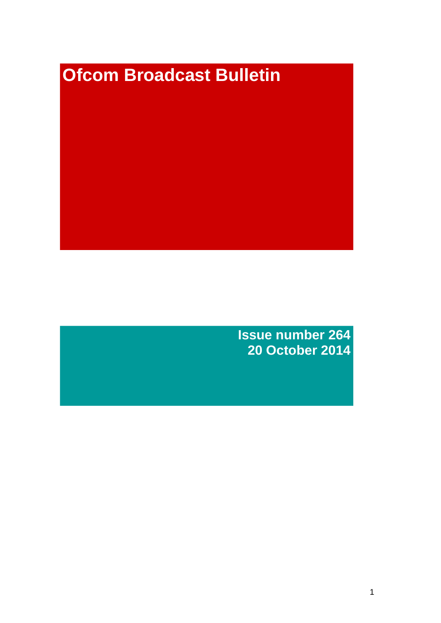# **Ofcom Broadcast Bulletin**

**Issue number 264 20 October 2014**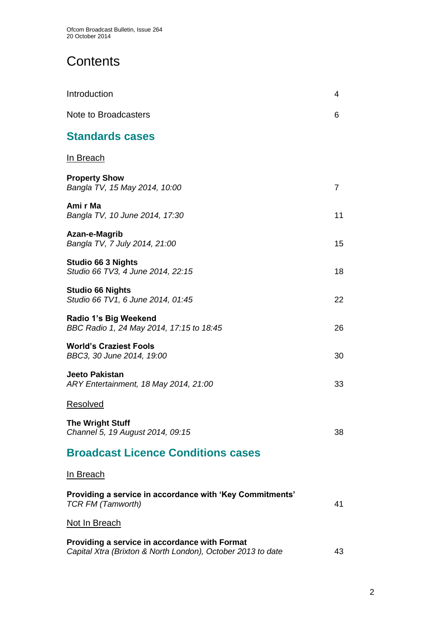# **Contents**

| Introduction                                                                                                 | 4              |
|--------------------------------------------------------------------------------------------------------------|----------------|
| <b>Note to Broadcasters</b>                                                                                  | 6              |
| <b>Standards cases</b>                                                                                       |                |
| In Breach                                                                                                    |                |
| <b>Property Show</b><br>Bangla TV, 15 May 2014, 10:00                                                        | $\overline{7}$ |
| Ami r Ma<br>Bangla TV, 10 June 2014, 17:30                                                                   | 11             |
| Azan-e-Magrib<br>Bangla TV, 7 July 2014, 21:00                                                               | 15             |
| <b>Studio 66 3 Nights</b><br>Studio 66 TV3, 4 June 2014, 22:15                                               | 18             |
| <b>Studio 66 Nights</b><br>Studio 66 TV1, 6 June 2014, 01:45                                                 | 22             |
| Radio 1's Big Weekend<br>BBC Radio 1, 24 May 2014, 17:15 to 18:45                                            | 26             |
| <b>World's Craziest Fools</b><br>BBC3, 30 June 2014, 19:00                                                   | 30             |
| Jeeto Pakistan<br>ARY Entertainment, 18 May 2014, 21:00                                                      | 33             |
| Resolved                                                                                                     |                |
| <b>The Wright Stuff</b><br>Channel 5, 19 August 2014, 09:15                                                  | 38             |
| <b>Broadcast Licence Conditions cases</b>                                                                    |                |
| <u>In Breach</u>                                                                                             |                |
| Providing a service in accordance with 'Key Commitments'<br><b>TCR FM (Tamworth)</b>                         | 41             |
| Not In Breach                                                                                                |                |
| Providing a service in accordance with Format<br>Capital Xtra (Brixton & North London), October 2013 to date | 43             |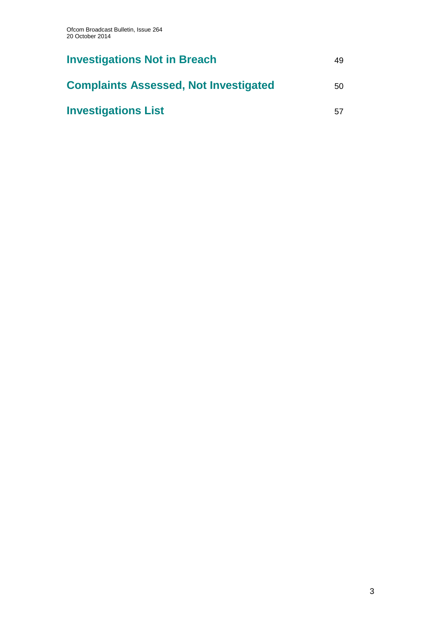| <b>Investigations Not in Breach</b>          | 49 |
|----------------------------------------------|----|
| <b>Complaints Assessed, Not Investigated</b> | 50 |
| <b>Investigations List</b>                   | 57 |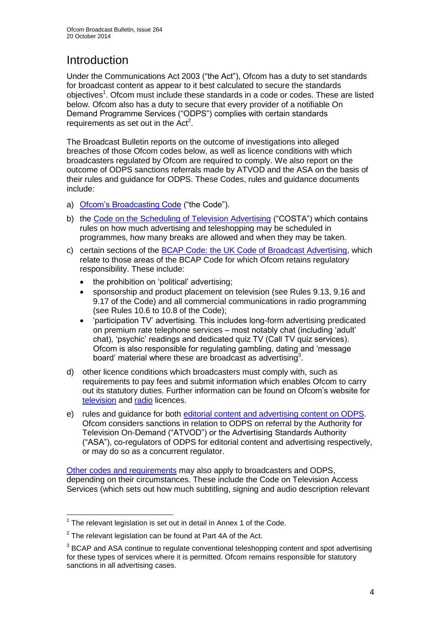# Introduction

Under the Communications Act 2003 ("the Act"), Ofcom has a duty to set standards for broadcast content as appear to it best calculated to secure the standards objectives<sup>1</sup>. Ofcom must include these standards in a code or codes. These are listed below. Ofcom also has a duty to secure that every provider of a notifiable On Demand Programme Services ("ODPS") complies with certain standards requirements as set out in the  $Act<sup>2</sup>$ .

The Broadcast Bulletin reports on the outcome of investigations into alleged breaches of those Ofcom codes below, as well as licence conditions with which broadcasters regulated by Ofcom are required to comply. We also report on the outcome of ODPS sanctions referrals made by ATVOD and the ASA on the basis of their rules and guidance for ODPS. These Codes, rules and guidance documents include:

- a) [Ofcom's Broadcasting Code](http://stakeholders.ofcom.org.uk/broadcasting/broadcast-codes/broadcast-code/) ("the Code").
- b) the [Code on the Scheduling of Television Advertising](http://stakeholders.ofcom.org.uk/broadcasting/broadcast-codes/advert-code/) ("COSTA") which contains rules on how much advertising and teleshopping may be scheduled in programmes, how many breaks are allowed and when they may be taken.
- c) certain sections of the [BCAP Code: the UK Code of Broadcast Advertising,](http://www.bcap.org.uk/Advertising-Codes/Broadcast-HTML.aspx) which relate to those areas of the BCAP Code for which Ofcom retains regulatory responsibility. These include:
	- the prohibition on 'political' advertising:
	- sponsorship and product placement on television (see Rules 9.13, 9.16 and 9.17 of the Code) and all commercial communications in radio programming (see Rules 10.6 to 10.8 of the Code);
	- 'participation TV' advertising. This includes long-form advertising predicated on premium rate telephone services – most notably chat (including 'adult' chat), 'psychic' readings and dedicated quiz TV (Call TV quiz services). Ofcom is also responsible for regulating gambling, dating and 'message board' material where these are broadcast as advertising<sup>3</sup>.
- d) other licence conditions which broadcasters must comply with, such as requirements to pay fees and submit information which enables Ofcom to carry out its statutory duties. Further information can be found on Ofcom's website for [television](http://licensing.ofcom.org.uk/tv-broadcast-licences/) and [radio](http://licensing.ofcom.org.uk/radio-broadcast-licensing/) licences.
- e) rules and guidance for both [editorial content and advertising content on ODPS.](http://www.atvod.co.uk/uploads/files/ATVOD_Rules_and_Guidance_Ed_2.0_May_2012.pdf) Ofcom considers sanctions in relation to ODPS on referral by the Authority for Television On-Demand ("ATVOD") or the Advertising Standards Authority ("ASA"), co-regulators of ODPS for editorial content and advertising respectively, or may do so as a concurrent regulator.

[Other codes and requirements](http://stakeholders.ofcom.org.uk/broadcasting/broadcast-codes/) may also apply to broadcasters and ODPS, depending on their circumstances. These include the Code on Television Access Services (which sets out how much subtitling, signing and audio description relevant

<sup>1</sup>  $1$  The relevant legislation is set out in detail in Annex 1 of the Code.

 $2$  The relevant legislation can be found at Part 4A of the Act.

 $3$  BCAP and ASA continue to regulate conventional teleshopping content and spot advertising for these types of services where it is permitted. Ofcom remains responsible for statutory sanctions in all advertising cases.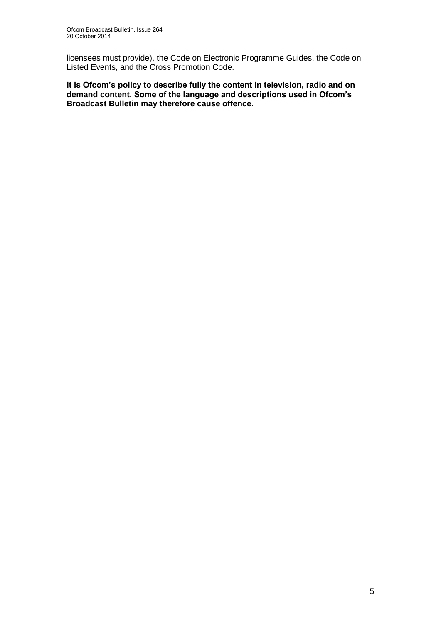licensees must provide), the Code on Electronic Programme Guides, the Code on Listed Events, and the Cross Promotion Code.

**It is Ofcom's policy to describe fully the content in television, radio and on demand content. Some of the language and descriptions used in Ofcom's Broadcast Bulletin may therefore cause offence.**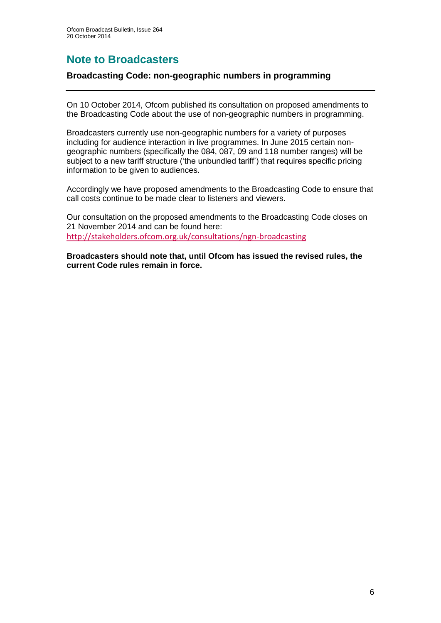## **Note to Broadcasters**

#### **Broadcasting Code: non-geographic numbers in programming**

On 10 October 2014, Ofcom published its consultation on proposed amendments to the Broadcasting Code about the use of non-geographic numbers in programming.

Broadcasters currently use non-geographic numbers for a variety of purposes including for audience interaction in live programmes. In June 2015 certain nongeographic numbers (specifically the 084, 087, 09 and 118 number ranges) will be subject to a new tariff structure ('the unbundled tariff') that requires specific pricing information to be given to audiences.

Accordingly we have proposed amendments to the Broadcasting Code to ensure that call costs continue to be made clear to listeners and viewers.

Our consultation on the proposed amendments to the Broadcasting Code closes on 21 November 2014 and can be found here: <http://stakeholders.ofcom.org.uk/consultations/ngn-broadcasting>

**Broadcasters should note that, until Ofcom has issued the revised rules, the current Code rules remain in force.**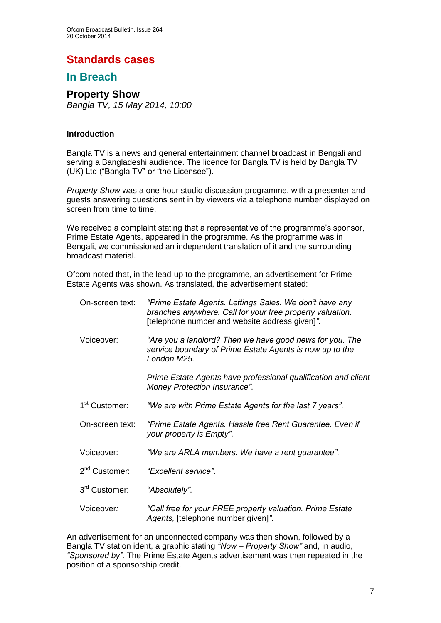## **Standards cases**

## **In Breach**

## **Property Show**

*Bangla TV, 15 May 2014, 10:00*

#### **Introduction**

Bangla TV is a news and general entertainment channel broadcast in Bengali and serving a Bangladeshi audience. The licence for Bangla TV is held by Bangla TV (UK) Ltd ("Bangla TV" or "the Licensee").

*Property Show* was a one-hour studio discussion programme, with a presenter and guests answering questions sent in by viewers via a telephone number displayed on screen from time to time.

We received a complaint stating that a representative of the programme's sponsor, Prime Estate Agents, appeared in the programme. As the programme was in Bengali, we commissioned an independent translation of it and the surrounding broadcast material.

Ofcom noted that, in the lead-up to the programme, an advertisement for Prime Estate Agents was shown. As translated, the advertisement stated:

| On-screen text:           | "Prime Estate Agents. Lettings Sales. We don't have any<br>branches anywhere. Call for your free property valuation.<br>[telephone number and website address given]". |
|---------------------------|------------------------------------------------------------------------------------------------------------------------------------------------------------------------|
| Voiceover:                | "Are you a landlord? Then we have good news for you. The<br>service boundary of Prime Estate Agents is now up to the<br>London M25.                                    |
|                           | Prime Estate Agents have professional qualification and client<br><b>Money Protection Insurance".</b>                                                                  |
| 1 <sup>st</sup> Customer: | "We are with Prime Estate Agents for the last 7 years".                                                                                                                |
| On-screen text:           | "Prime Estate Agents. Hassle free Rent Guarantee. Even if<br>your property is Empty".                                                                                  |
| Voiceover:                | "We are ARLA members. We have a rent guarantee".                                                                                                                       |
| $2nd$ Customer:           | "Excellent service".                                                                                                                                                   |
| 3 <sup>rd</sup> Customer: | "Absolutely".                                                                                                                                                          |
| Voiceover:                | "Call free for your FREE property valuation. Prime Estate<br>Agents, [telephone number given]".                                                                        |

An advertisement for an unconnected company was then shown, followed by a Bangla TV station ident, a graphic stating *"Now – Property Show"* and, in audio, *"Sponsored by"*. The Prime Estate Agents advertisement was then repeated in the position of a sponsorship credit.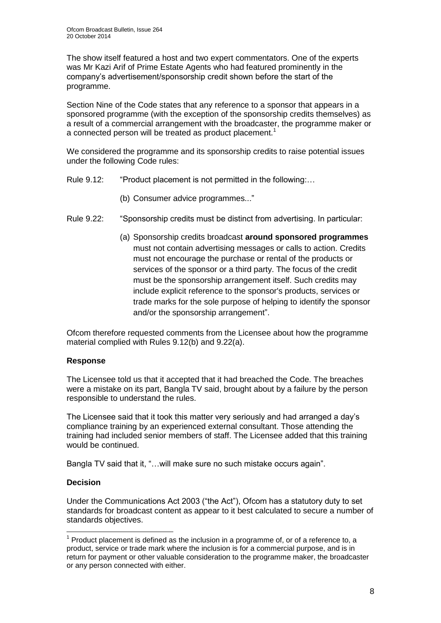The show itself featured a host and two expert commentators. One of the experts was Mr Kazi Arif of Prime Estate Agents who had featured prominently in the company's advertisement/sponsorship credit shown before the start of the programme.

Section Nine of the Code states that any reference to a sponsor that appears in a sponsored programme (with the exception of the sponsorship credits themselves) as a result of a commercial arrangement with the broadcaster, the programme maker or a connected person will be treated as product placement.<sup>1</sup>

We considered the programme and its sponsorship credits to raise potential issues under the following Code rules:

- Rule 9.12: "Product placement is not permitted in the following:...
	- (b) Consumer advice programmes..."
- Rule 9.22: "Sponsorship credits must be distinct from advertising. In particular:
	- (a) Sponsorship credits broadcast **around sponsored programmes** must not contain advertising messages or calls to action. Credits must not encourage the purchase or rental of the products or services of the sponsor or a third party. The focus of the credit must be the sponsorship arrangement itself. Such credits may include explicit reference to the sponsor's products, services or trade marks for the sole purpose of helping to identify the sponsor and/or the sponsorship arrangement".

Ofcom therefore requested comments from the Licensee about how the programme material complied with Rules 9.12(b) and 9.22(a).

#### **Response**

The Licensee told us that it accepted that it had breached the Code. The breaches were a mistake on its part, Bangla TV said, brought about by a failure by the person responsible to understand the rules.

The Licensee said that it took this matter very seriously and had arranged a day's compliance training by an experienced external consultant. Those attending the training had included senior members of staff. The Licensee added that this training would be continued.

Bangla TV said that it, "…will make sure no such mistake occurs again".

#### **Decision**

Under the Communications Act 2003 ("the Act"), Ofcom has a statutory duty to set standards for broadcast content as appear to it best calculated to secure a number of standards objectives.

<sup>1</sup>  $1$  Product placement is defined as the inclusion in a programme of, or of a reference to, a product, service or trade mark where the inclusion is for a commercial purpose, and is in return for payment or other valuable consideration to the programme maker, the broadcaster or any person connected with either.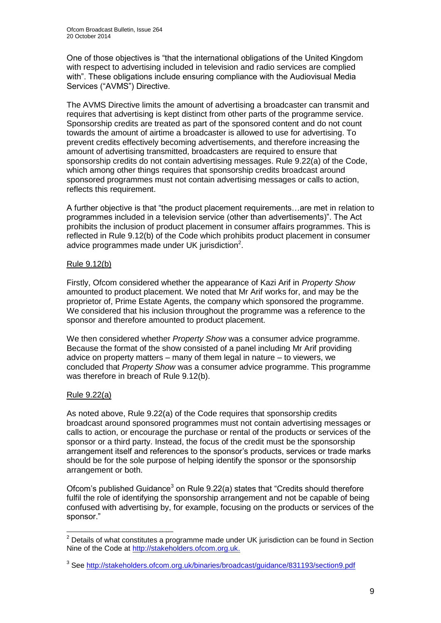One of those objectives is "that the international obligations of the United Kingdom with respect to advertising included in television and radio services are complied with". These obligations include ensuring compliance with the Audiovisual Media Services ("AVMS") Directive.

The AVMS Directive limits the amount of advertising a broadcaster can transmit and requires that advertising is kept distinct from other parts of the programme service. Sponsorship credits are treated as part of the sponsored content and do not count towards the amount of airtime a broadcaster is allowed to use for advertising. To prevent credits effectively becoming advertisements, and therefore increasing the amount of advertising transmitted, broadcasters are required to ensure that sponsorship credits do not contain advertising messages. Rule 9.22(a) of the Code, which among other things requires that sponsorship credits broadcast around sponsored programmes must not contain advertising messages or calls to action, reflects this requirement.

A further objective is that "the product placement requirements…are met in relation to programmes included in a television service (other than advertisements)". The Act prohibits the inclusion of product placement in consumer affairs programmes. This is reflected in Rule 9.12(b) of the Code which prohibits product placement in consumer advice programmes made under UK jurisdiction $2$ .

#### Rule 9.12(b)

Firstly, Ofcom considered whether the appearance of Kazi Arif in *Property Show* amounted to product placement. We noted that Mr Arif works for, and may be the proprietor of, Prime Estate Agents, the company which sponsored the programme. We considered that his inclusion throughout the programme was a reference to the sponsor and therefore amounted to product placement.

We then considered whether *Property Show* was a consumer advice programme. Because the format of the show consisted of a panel including Mr Arif providing advice on property matters – many of them legal in nature – to viewers, we concluded that *Property Show* was a consumer advice programme. This programme was therefore in breach of Rule 9.12(b).

#### Rule 9.22(a)

As noted above, Rule 9.22(a) of the Code requires that sponsorship credits broadcast around sponsored programmes must not contain advertising messages or calls to action, or encourage the purchase or rental of the products or services of the sponsor or a third party. Instead, the focus of the credit must be the sponsorship arrangement itself and references to the sponsor's products, services or trade marks should be for the sole purpose of helping identify the sponsor or the sponsorship arrangement or both.

Ofcom's published Guidance<sup>3</sup> on Rule  $9.22(a)$  states that "Credits should therefore fulfil the role of identifying the sponsorship arrangement and not be capable of being confused with advertising by, for example, focusing on the products or services of the sponsor."

<sup>1</sup>  $2$  Details of what constitutes a programme made under UK jurisdiction can be found in Section Nine of the Code at [http://stakeholders.ofcom.org.uk.](http://stakeholders.ofcom.org.uk/)

<sup>&</sup>lt;sup>3</sup> See<http://stakeholders.ofcom.org.uk/binaries/broadcast/guidance/831193/section9.pdf>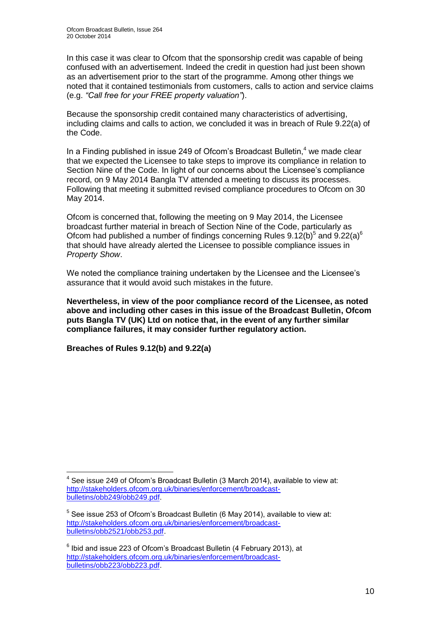In this case it was clear to Ofcom that the sponsorship credit was capable of being confused with an advertisement. Indeed the credit in question had just been shown as an advertisement prior to the start of the programme. Among other things we noted that it contained testimonials from customers, calls to action and service claims (e.g. *"Call free for your FREE property valuation"*).

Because the sponsorship credit contained many characteristics of advertising, including claims and calls to action, we concluded it was in breach of Rule 9.22(a) of the Code.

In a Finding published in issue 249 of Ofcom's Broadcast Bulletin.<sup>4</sup> we made clear that we expected the Licensee to take steps to improve its compliance in relation to Section Nine of the Code. In light of our concerns about the Licensee's compliance record, on 9 May 2014 Bangla TV attended a meeting to discuss its processes. Following that meeting it submitted revised compliance procedures to Ofcom on 30 May 2014.

Ofcom is concerned that, following the meeting on 9 May 2014, the Licensee broadcast further material in breach of Section Nine of the Code, particularly as Ofcom had published a number of findings concerning Rules  $9.12(b)^5$  and  $9.22(a)^6$ that should have already alerted the Licensee to possible compliance issues in *Property Show*.

We noted the compliance training undertaken by the Licensee and the Licensee's assurance that it would avoid such mistakes in the future.

**Nevertheless, in view of the poor compliance record of the Licensee, as noted above and including other cases in this issue of the Broadcast Bulletin, Ofcom puts Bangla TV (UK) Ltd on notice that, in the event of any further similar compliance failures, it may consider further regulatory action.** 

**Breaches of Rules 9.12(b) and 9.22(a)**

1

 $4$  See issue 249 of Ofcom's Broadcast Bulletin (3 March 2014), available to view at: [http://stakeholders.ofcom.org.uk/binaries/enforcement/broadcast](http://stakeholders.ofcom.org.uk/binaries/enforcement/broadcast-bulletins/obb249/obb249.pdf)[bulletins/obb249/obb249.pdf.](http://stakeholders.ofcom.org.uk/binaries/enforcement/broadcast-bulletins/obb249/obb249.pdf)

 $5$  See issue 253 of Ofcom's Broadcast Bulletin (6 May 2014), available to view at: [http://stakeholders.ofcom.org.uk/binaries/enforcement/broadcast](http://stakeholders.ofcom.org.uk/binaries/enforcement/broadcast-bulletins/obb2521/obb253.pdf)[bulletins/obb2521/obb253.pdf.](http://stakeholders.ofcom.org.uk/binaries/enforcement/broadcast-bulletins/obb2521/obb253.pdf)

 $6$  Ibid and issue 223 of Ofcom's Broadcast Bulletin (4 February 2013), at [http://stakeholders.ofcom.org.uk/binaries/enforcement/broadcast](http://stakeholders.ofcom.org.uk/binaries/enforcement/broadcast-bulletins/obb223/obb223.pdf)[bulletins/obb223/obb223.pdf.](http://stakeholders.ofcom.org.uk/binaries/enforcement/broadcast-bulletins/obb223/obb223.pdf)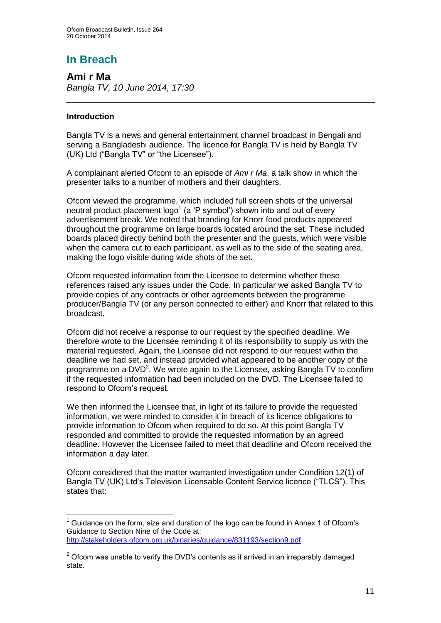# **In Breach**

**Ami r Ma** *Bangla TV, 10 June 2014, 17:30*

#### **Introduction**

Bangla TV is a news and general entertainment channel broadcast in Bengali and serving a Bangladeshi audience. The licence for Bangla TV is held by Bangla TV (UK) Ltd ("Bangla TV" or "the Licensee").

A complainant alerted Ofcom to an episode of *Ami r Ma*, a talk show in which the presenter talks to a number of mothers and their daughters.

Ofcom viewed the programme, which included full screen shots of the universal neutral product placement  $\log o^1$  (a 'P symbol') shown into and out of every advertisement break. We noted that branding for Knorr food products appeared throughout the programme on large boards located around the set. These included boards placed directly behind both the presenter and the guests, which were visible when the camera cut to each participant, as well as to the side of the seating area, making the logo visible during wide shots of the set.

Ofcom requested information from the Licensee to determine whether these references raised any issues under the Code. In particular we asked Bangla TV to provide copies of any contracts or other agreements between the programme producer/Bangla TV (or any person connected to either) and Knorr that related to this broadcast.

Ofcom did not receive a response to our request by the specified deadline. We therefore wrote to the Licensee reminding it of its responsibility to supply us with the material requested. Again, the Licensee did not respond to our request within the deadline we had set, and instead provided what appeared to be another copy of the programme on a DVD<sup>2</sup>. We wrote again to the Licensee, asking Bangla TV to confirm if the requested information had been included on the DVD. The Licensee failed to respond to Ofcom's request.

We then informed the Licensee that, in light of its failure to provide the requested information, we were minded to consider it in breach of its licence obligations to provide information to Ofcom when required to do so. At this point Bangla TV responded and committed to provide the requested information by an agreed deadline. However the Licensee failed to meet that deadline and Ofcom received the information a day later.

Ofcom considered that the matter warranted investigation under Condition 12(1) of Bangla TV (UK) Ltd's Television Licensable Content Service licence ("TLCS"). This states that:

<sup>1</sup>  $1$  Guidance on the form, size and duration of the logo can be found in Annex 1 of Ofcom's Guidance to Section Nine of the Code at: [http://stakeholders.ofcom.org.uk/binaries/guidance/831193/section9.pdf.](http://stakeholders.ofcom.org.uk/binaries/guidance/831193/section9.pdf)

 $2$  Ofcom was unable to verify the DVD's contents as it arrived in an irreparably damaged state.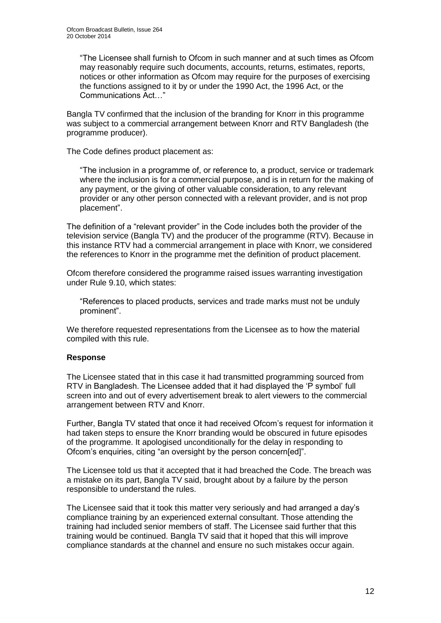"The Licensee shall furnish to Ofcom in such manner and at such times as Ofcom may reasonably require such documents, accounts, returns, estimates, reports, notices or other information as Ofcom may require for the purposes of exercising the functions assigned to it by or under the 1990 Act, the 1996 Act, or the Communications Act…"

Bangla TV confirmed that the inclusion of the branding for Knorr in this programme was subject to a commercial arrangement between Knorr and RTV Bangladesh (the programme producer).

The Code defines product placement as:

"The inclusion in a programme of, or reference to, a product, service or trademark where the inclusion is for a commercial purpose, and is in return for the making of any payment, or the giving of other valuable consideration, to any relevant provider or any other person connected with a relevant provider, and is not prop placement".

The definition of a "relevant provider" in the Code includes both the provider of the television service (Bangla TV) and the producer of the programme (RTV). Because in this instance RTV had a commercial arrangement in place with Knorr, we considered the references to Knorr in the programme met the definition of product placement.

Ofcom therefore considered the programme raised issues warranting investigation under Rule 9.10, which states:

"References to placed products, services and trade marks must not be unduly prominent".

We therefore requested representations from the Licensee as to how the material compiled with this rule.

#### **Response**

The Licensee stated that in this case it had transmitted programming sourced from RTV in Bangladesh. The Licensee added that it had displayed the 'P symbol' full screen into and out of every advertisement break to alert viewers to the commercial arrangement between RTV and Knorr.

Further, Bangla TV stated that once it had received Ofcom's request for information it had taken steps to ensure the Knorr branding would be obscured in future episodes of the programme. It apologised unconditionally for the delay in responding to Ofcom's enquiries, citing "an oversight by the person concern[ed]".

The Licensee told us that it accepted that it had breached the Code. The breach was a mistake on its part, Bangla TV said, brought about by a failure by the person responsible to understand the rules.

The Licensee said that it took this matter very seriously and had arranged a day's compliance training by an experienced external consultant. Those attending the training had included senior members of staff. The Licensee said further that this training would be continued. Bangla TV said that it hoped that this will improve compliance standards at the channel and ensure no such mistakes occur again.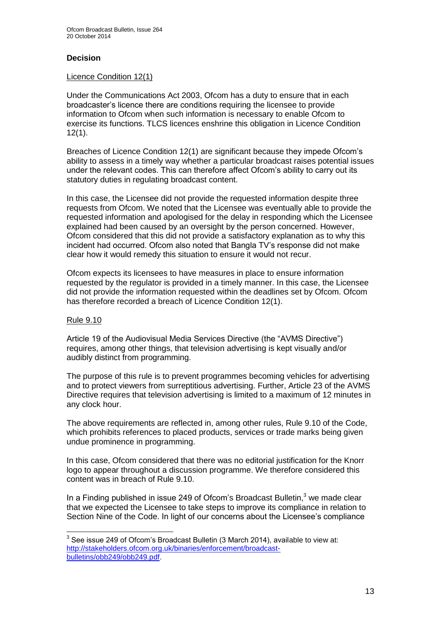#### **Decision**

#### Licence Condition 12(1)

Under the Communications Act 2003, Ofcom has a duty to ensure that in each broadcaster's licence there are conditions requiring the licensee to provide information to Ofcom when such information is necessary to enable Ofcom to exercise its functions. TLCS licences enshrine this obligation in Licence Condition 12(1).

Breaches of Licence Condition 12(1) are significant because they impede Ofcom's ability to assess in a timely way whether a particular broadcast raises potential issues under the relevant codes. This can therefore affect Ofcom's ability to carry out its statutory duties in regulating broadcast content.

In this case, the Licensee did not provide the requested information despite three requests from Ofcom. We noted that the Licensee was eventually able to provide the requested information and apologised for the delay in responding which the Licensee explained had been caused by an oversight by the person concerned. However, Ofcom considered that this did not provide a satisfactory explanation as to why this incident had occurred. Ofcom also noted that Bangla TV's response did not make clear how it would remedy this situation to ensure it would not recur.

Ofcom expects its licensees to have measures in place to ensure information requested by the regulator is provided in a timely manner. In this case, the Licensee did not provide the information requested within the deadlines set by Ofcom. Ofcom has therefore recorded a breach of Licence Condition 12(1).

#### Rule 9.10

Article 19 of the Audiovisual Media Services Directive (the "AVMS Directive") requires, among other things, that television advertising is kept visually and/or audibly distinct from programming.

The purpose of this rule is to prevent programmes becoming vehicles for advertising and to protect viewers from surreptitious advertising. Further, Article 23 of the AVMS Directive requires that television advertising is limited to a maximum of 12 minutes in any clock hour.

The above requirements are reflected in, among other rules, Rule 9.10 of the Code, which prohibits references to placed products, services or trade marks being given undue prominence in programming.

In this case, Ofcom considered that there was no editorial justification for the Knorr logo to appear throughout a discussion programme. We therefore considered this content was in breach of Rule 9.10.

In a Finding published in issue 249 of Ofcom's Broadcast Bulletin, $3$  we made clear that we expected the Licensee to take steps to improve its compliance in relation to Section Nine of the Code. In light of our concerns about the Licensee's compliance

 3 See issue 249 of Ofcom's Broadcast Bulletin (3 March 2014), available to view at: [http://stakeholders.ofcom.org.uk/binaries/enforcement/broadcast](http://stakeholders.ofcom.org.uk/binaries/enforcement/broadcast-bulletins/obb249/obb249.pdf)[bulletins/obb249/obb249.pdf.](http://stakeholders.ofcom.org.uk/binaries/enforcement/broadcast-bulletins/obb249/obb249.pdf)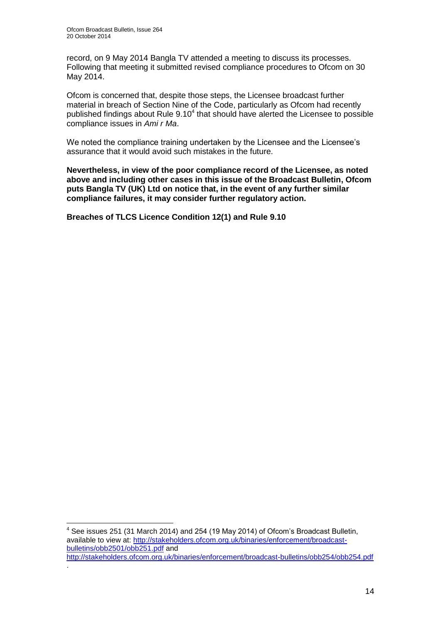1

.

record, on 9 May 2014 Bangla TV attended a meeting to discuss its processes. Following that meeting it submitted revised compliance procedures to Ofcom on 30 May 2014.

Ofcom is concerned that, despite those steps, the Licensee broadcast further material in breach of Section Nine of the Code, particularly as Ofcom had recently published findings about Rule  $9.10<sup>4</sup>$  that should have alerted the Licensee to possible compliance issues in *Ami r Ma*.

We noted the compliance training undertaken by the Licensee and the Licensee's assurance that it would avoid such mistakes in the future.

**Nevertheless, in view of the poor compliance record of the Licensee, as noted above and including other cases in this issue of the Broadcast Bulletin, Ofcom puts Bangla TV (UK) Ltd on notice that, in the event of any further similar compliance failures, it may consider further regulatory action.** 

**Breaches of TLCS Licence Condition 12(1) and Rule 9.10**

 $4$  See issues 251 (31 March 2014) and 254 (19 May 2014) of Ofcom's Broadcast Bulletin, available to view at: [http://stakeholders.ofcom.org.uk/binaries/enforcement/broadcast](http://stakeholders.ofcom.org.uk/binaries/enforcement/broadcast-bulletins/obb2501/obb251.pdf)[bulletins/obb2501/obb251.pdf](http://stakeholders.ofcom.org.uk/binaries/enforcement/broadcast-bulletins/obb2501/obb251.pdf) and

<http://stakeholders.ofcom.org.uk/binaries/enforcement/broadcast-bulletins/obb254/obb254.pdf>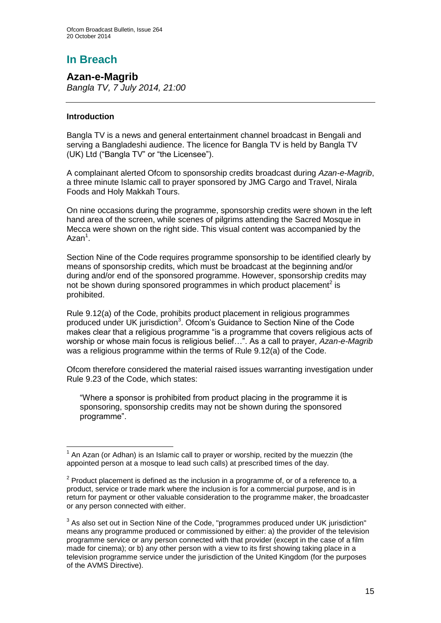# **In Breach**

**Azan-e-Magrib** *Bangla TV, 7 July 2014, 21:00*

#### **Introduction**

1

Bangla TV is a news and general entertainment channel broadcast in Bengali and serving a Bangladeshi audience. The licence for Bangla TV is held by Bangla TV (UK) Ltd ("Bangla TV" or "the Licensee").

A complainant alerted Ofcom to sponsorship credits broadcast during *Azan-e-Magrib*, a three minute Islamic call to prayer sponsored by JMG Cargo and Travel, Nirala Foods and Holy Makkah Tours.

On nine occasions during the programme, sponsorship credits were shown in the left hand area of the screen, while scenes of pilgrims attending the Sacred Mosque in Mecca were shown on the right side. This visual content was accompanied by the Azan<sup>1</sup>.

Section Nine of the Code requires programme sponsorship to be identified clearly by means of sponsorship credits, which must be broadcast at the beginning and/or during and/or end of the sponsored programme. However, sponsorship credits may not be shown during sponsored programmes in which product placement<sup>2</sup> is prohibited.

Rule 9.12(a) of the Code, prohibits product placement in religious programmes produced under UK jurisdiction<sup>3</sup>. Ofcom's Guidance to Section Nine of the Code makes clear that a religious programme "is a programme that covers religious acts of worship or whose main focus is religious belief…". As a call to prayer, *Azan-e-Magrib*  was a religious programme within the terms of Rule 9.12(a) of the Code.

Ofcom therefore considered the material raised issues warranting investigation under Rule 9.23 of the Code, which states:

"Where a sponsor is prohibited from product placing in the programme it is sponsoring, sponsorship credits may not be shown during the sponsored programme".

 $1$  An Azan (or Adhan) is an Islamic call to prayer or worship, recited by the muezzin (the appointed person at a mosque to lead such calls) at prescribed times of the day.

 $2$  Product placement is defined as the inclusion in a programme of, or of a reference to, a product, service or trade mark where the inclusion is for a commercial purpose, and is in return for payment or other valuable consideration to the programme maker, the broadcaster or any person connected with either.

 $3$  As also set out in Section Nine of the Code, "programmes produced under UK jurisdiction" means any programme produced or commissioned by either: a) the provider of the television programme service or any person connected with that provider (except in the case of a film made for cinema); or b) any other person with a view to its first showing taking place in a television programme service under the jurisdiction of the United Kingdom (for the purposes of the AVMS Directive).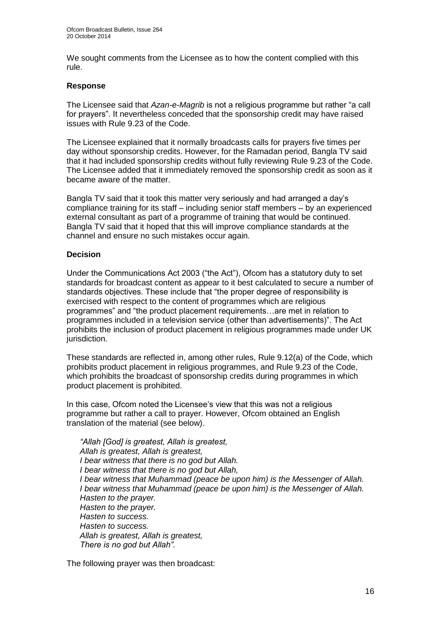We sought comments from the Licensee as to how the content complied with this rule.

#### **Response**

The Licensee said that *Azan-e-Magrib* is not a religious programme but rather "a call for prayers". It nevertheless conceded that the sponsorship credit may have raised issues with Rule 9.23 of the Code.

The Licensee explained that it normally broadcasts calls for prayers five times per day without sponsorship credits. However, for the Ramadan period, Bangla TV said that it had included sponsorship credits without fully reviewing Rule 9.23 of the Code. The Licensee added that it immediately removed the sponsorship credit as soon as it became aware of the matter.

Bangla TV said that it took this matter very seriously and had arranged a day's compliance training for its staff – including senior staff members – by an experienced external consultant as part of a programme of training that would be continued. Bangla TV said that it hoped that this will improve compliance standards at the channel and ensure no such mistakes occur again.

#### **Decision**

Under the Communications Act 2003 ("the Act"), Ofcom has a statutory duty to set standards for broadcast content as appear to it best calculated to secure a number of standards objectives. These include that "the proper degree of responsibility is exercised with respect to the content of programmes which are religious programmes" and "the product placement requirements…are met in relation to programmes included in a television service (other than advertisements)". The Act prohibits the inclusion of product placement in religious programmes made under UK jurisdiction.

These standards are reflected in, among other rules, Rule 9.12(a) of the Code, which prohibits product placement in religious programmes, and Rule 9.23 of the Code, which prohibits the broadcast of sponsorship credits during programmes in which product placement is prohibited.

In this case, Ofcom noted the Licensee's view that this was not a religious programme but rather a call to prayer. However, Ofcom obtained an English translation of the material (see below).

*"Allah [God] is greatest, Allah is greatest, Allah is greatest, Allah is greatest, I bear witness that there is no god but Allah. I bear witness that there is no god but Allah, I bear witness that Muhammad (peace be upon him) is the Messenger of Allah. I bear witness that Muhammad (peace be upon him) is the Messenger of Allah. Hasten to the prayer. Hasten to the prayer. Hasten to success. Hasten to success. Allah is greatest, Allah is greatest, There is no god but Allah".* 

The following prayer was then broadcast: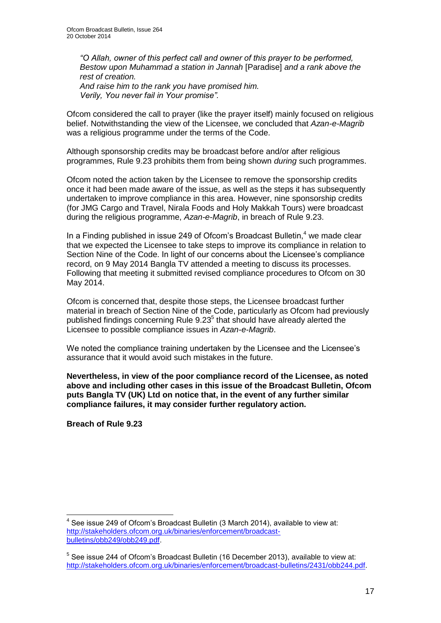*"O Allah, owner of this perfect call and owner of this prayer to be performed, Bestow upon Muhammad a station in Jannah* [Paradise] *and a rank above the rest of creation. And raise him to the rank you have promised him.* 

*Verily, You never fail in Your promise".* 

Ofcom considered the call to prayer (like the prayer itself) mainly focused on religious belief. Notwithstanding the view of the Licensee, we concluded that *Azan-e-Magrib*  was a religious programme under the terms of the Code.

Although sponsorship credits may be broadcast before and/or after religious programmes, Rule 9.23 prohibits them from being shown *during* such programmes.

Ofcom noted the action taken by the Licensee to remove the sponsorship credits once it had been made aware of the issue, as well as the steps it has subsequently undertaken to improve compliance in this area. However, nine sponsorship credits (for JMG Cargo and Travel, Nirala Foods and Holy Makkah Tours) were broadcast during the religious programme, *Azan-e-Magrib*, in breach of Rule 9.23.

In a Finding published in issue 249 of Ofcom's Broadcast Bulletin.<sup>4</sup> we made clear that we expected the Licensee to take steps to improve its compliance in relation to Section Nine of the Code. In light of our concerns about the Licensee's compliance record, on 9 May 2014 Bangla TV attended a meeting to discuss its processes. Following that meeting it submitted revised compliance procedures to Ofcom on 30 May 2014.

Ofcom is concerned that, despite those steps, the Licensee broadcast further material in breach of Section Nine of the Code, particularly as Ofcom had previously published findings concerning Rule 9.23<sup>5</sup> that should have already alerted the Licensee to possible compliance issues in *Azan-e-Magrib*.

We noted the compliance training undertaken by the Licensee and the Licensee's assurance that it would avoid such mistakes in the future.

**Nevertheless, in view of the poor compliance record of the Licensee, as noted above and including other cases in this issue of the Broadcast Bulletin, Ofcom puts Bangla TV (UK) Ltd on notice that, in the event of any further similar compliance failures, it may consider further regulatory action.** 

**Breach of Rule 9.23**

<sup>1</sup>  $4$  See issue 249 of Ofcom's Broadcast Bulletin (3 March 2014), available to view at: [http://stakeholders.ofcom.org.uk/binaries/enforcement/broadcast](http://stakeholders.ofcom.org.uk/binaries/enforcement/broadcast-bulletins/obb249/obb249.pdf)[bulletins/obb249/obb249.pdf.](http://stakeholders.ofcom.org.uk/binaries/enforcement/broadcast-bulletins/obb249/obb249.pdf)

<sup>&</sup>lt;sup>5</sup> See issue 244 of Ofcom's Broadcast Bulletin (16 December 2013), available to view at: [http://stakeholders.ofcom.org.uk/binaries/enforcement/broadcast-bulletins/2431/obb244.pdf.](http://stakeholders.ofcom.org.uk/binaries/enforcement/broadcast-bulletins/2431/obb244.pdf)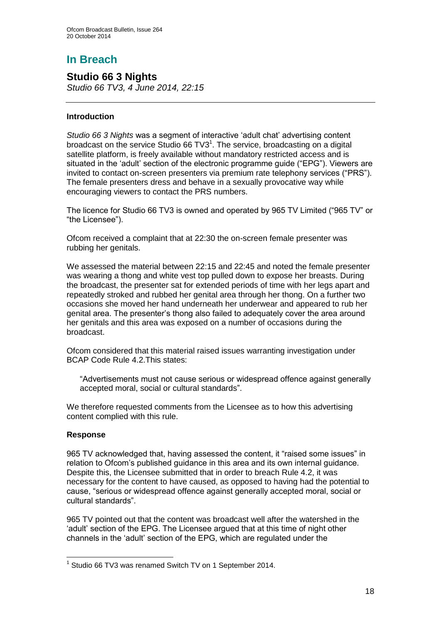# **In Breach**

## **Studio 66 3 Nights**

*Studio 66 TV3, 4 June 2014, 22:15*

#### **Introduction**

*Studio 66 3 Nights* was a segment of interactive 'adult chat' advertising content broadcast on the service Studio 66 TV3 $1$ . The service, broadcasting on a digital satellite platform, is freely available without mandatory restricted access and is situated in the 'adult' section of the electronic programme guide ("EPG"). Viewers are invited to contact on-screen presenters via premium rate telephony services ("PRS"). The female presenters dress and behave in a sexually provocative way while encouraging viewers to contact the PRS numbers.

The licence for Studio 66 TV3 is owned and operated by 965 TV Limited ("965 TV" or "the Licensee").

Ofcom received a complaint that at 22:30 the on-screen female presenter was rubbing her genitals.

We assessed the material between 22:15 and 22:45 and noted the female presenter was wearing a thong and white vest top pulled down to expose her breasts. During the broadcast, the presenter sat for extended periods of time with her legs apart and repeatedly stroked and rubbed her genital area through her thong. On a further two occasions she moved her hand underneath her underwear and appeared to rub her genital area. The presenter's thong also failed to adequately cover the area around her genitals and this area was exposed on a number of occasions during the broadcast.

Ofcom considered that this material raised issues warranting investigation under BCAP Code Rule 4.2.This states:

"Advertisements must not cause serious or widespread offence against generally accepted moral, social or cultural standards".

We therefore requested comments from the Licensee as to how this advertising content complied with this rule.

#### **Response**

1

965 TV acknowledged that, having assessed the content, it "raised some issues" in relation to Ofcom's published guidance in this area and its own internal guidance. Despite this, the Licensee submitted that in order to breach Rule 4.2, it was necessary for the content to have caused, as opposed to having had the potential to cause, "serious or widespread offence against generally accepted moral, social or cultural standards".

965 TV pointed out that the content was broadcast well after the watershed in the 'adult' section of the EPG. The Licensee argued that at this time of night other channels in the 'adult' section of the EPG, which are regulated under the

<sup>&</sup>lt;sup>1</sup> Studio 66 TV3 was renamed Switch TV on 1 September 2014.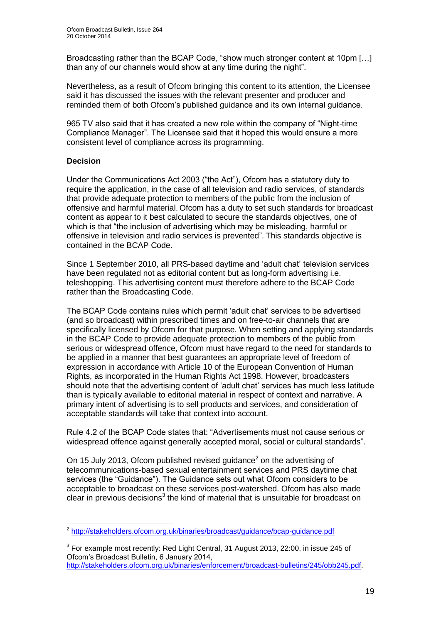Broadcasting rather than the BCAP Code, "show much stronger content at 10pm […] than any of our channels would show at any time during the night".

Nevertheless, as a result of Ofcom bringing this content to its attention, the Licensee said it has discussed the issues with the relevant presenter and producer and reminded them of both Ofcom's published guidance and its own internal guidance.

965 TV also said that it has created a new role within the company of "Night-time Compliance Manager". The Licensee said that it hoped this would ensure a more consistent level of compliance across its programming.

#### **Decision**

Under the Communications Act 2003 ("the Act"), Ofcom has a statutory duty to require the application, in the case of all television and radio services, of standards that provide adequate protection to members of the public from the inclusion of offensive and harmful material. Ofcom has a duty to set such standards for broadcast content as appear to it best calculated to secure the standards objectives, one of which is that "the inclusion of advertising which may be misleading, harmful or offensive in television and radio services is prevented". This standards objective is contained in the BCAP Code.

Since 1 September 2010, all PRS-based daytime and 'adult chat' television services have been regulated not as editorial content but as long-form advertising i.e. teleshopping. This advertising content must therefore adhere to the BCAP Code rather than the Broadcasting Code.

The BCAP Code contains rules which permit 'adult chat' services to be advertised (and so broadcast) within prescribed times and on free-to-air channels that are specifically licensed by Ofcom for that purpose. When setting and applying standards in the BCAP Code to provide adequate protection to members of the public from serious or widespread offence, Ofcom must have regard to the need for standards to be applied in a manner that best guarantees an appropriate level of freedom of expression in accordance with Article 10 of the European Convention of Human Rights, as incorporated in the Human Rights Act 1998. However, broadcasters should note that the advertising content of 'adult chat' services has much less latitude than is typically available to editorial material in respect of context and narrative. A primary intent of advertising is to sell products and services, and consideration of acceptable standards will take that context into account.

Rule 4.2 of the BCAP Code states that: "Advertisements must not cause serious or widespread offence against generally accepted moral, social or cultural standards".

On 15 July 2013, Ofcom published revised guidance $^2$  on the advertising of telecommunications-based sexual entertainment services and PRS daytime chat services (the "Guidance"). The Guidance sets out what Ofcom considers to be acceptable to broadcast on these services post-watershed. Ofcom has also made clear in previous decisions<sup>3</sup> the kind of material that is unsuitable for broadcast on

 2 <http://stakeholders.ofcom.org.uk/binaries/broadcast/guidance/bcap-guidance.pdf>

 $3$  For example most recently: Red Light Central, 31 August 2013, 22:00, in issue 245 of Ofcom's Broadcast Bulletin, 6 January 2014, [http://stakeholders.ofcom.org.uk/binaries/enforcement/broadcast-bulletins/245/obb245.pdf.](http://stakeholders.ofcom.org.uk/binaries/enforcement/broadcast-bulletins/245/obb245.pdf)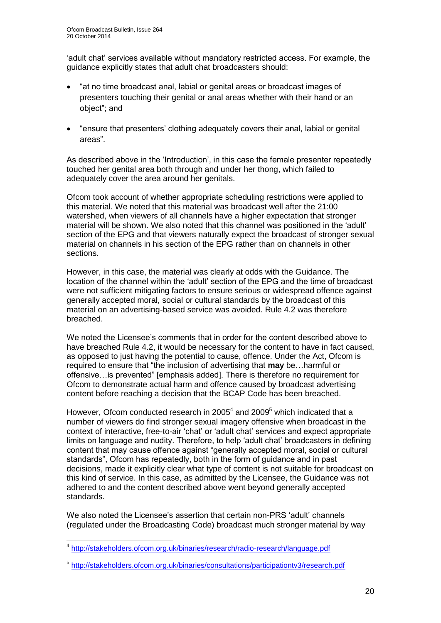'adult chat' services available without mandatory restricted access. For example, the guidance explicitly states that adult chat broadcasters should:

- "at no time broadcast anal, labial or genital areas or broadcast images of presenters touching their genital or anal areas whether with their hand or an object"; and
- "ensure that presenters' clothing adequately covers their anal, labial or genital areas".

As described above in the 'Introduction', in this case the female presenter repeatedly touched her genital area both through and under her thong, which failed to adequately cover the area around her genitals.

Ofcom took account of whether appropriate scheduling restrictions were applied to this material. We noted that this material was broadcast well after the 21:00 watershed, when viewers of all channels have a higher expectation that stronger material will be shown. We also noted that this channel was positioned in the 'adult' section of the EPG and that viewers naturally expect the broadcast of stronger sexual material on channels in his section of the EPG rather than on channels in other sections.

However, in this case, the material was clearly at odds with the Guidance. The location of the channel within the 'adult' section of the EPG and the time of broadcast were not sufficient mitigating factors to ensure serious or widespread offence against generally accepted moral, social or cultural standards by the broadcast of this material on an advertising-based service was avoided. Rule 4.2 was therefore breached.

We noted the Licensee's comments that in order for the content described above to have breached Rule 4.2, it would be necessary for the content to have in fact caused, as opposed to just having the potential to cause, offence. Under the Act, Ofcom is required to ensure that "the inclusion of advertising that **may** be…harmful or offensive…is prevented" [emphasis added]. There is therefore no requirement for Ofcom to demonstrate actual harm and offence caused by broadcast advertising content before reaching a decision that the BCAP Code has been breached.

However, Ofcom conducted research in 2005<sup>4</sup> and 2009<sup>5</sup> which indicated that a number of viewers do find stronger sexual imagery offensive when broadcast in the context of interactive, free-to-air 'chat' or 'adult chat' services and expect appropriate limits on language and nudity. Therefore, to help 'adult chat' broadcasters in defining content that may cause offence against "generally accepted moral, social or cultural standards", Ofcom has repeatedly, both in the form of guidance and in past decisions, made it explicitly clear what type of content is not suitable for broadcast on this kind of service. In this case, as admitted by the Licensee, the Guidance was not adhered to and the content described above went beyond generally accepted standards.

We also noted the Licensee's assertion that certain non-PRS 'adult' channels (regulated under the Broadcasting Code) broadcast much stronger material by way

1

<sup>&</sup>lt;sup>4</sup> <http://stakeholders.ofcom.org.uk/binaries/research/radio-research/language.pdf>

<sup>&</sup>lt;sup>5</sup> <http://stakeholders.ofcom.org.uk/binaries/consultations/participationtv3/research.pdf>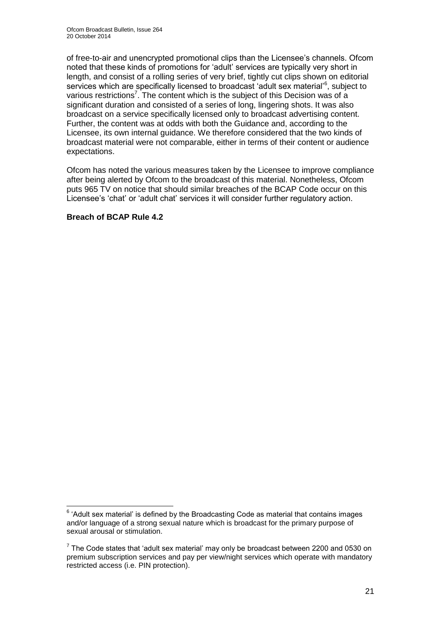of free-to-air and unencrypted promotional clips than the Licensee's channels. Ofcom noted that these kinds of promotions for 'adult' services are typically very short in length, and consist of a rolling series of very brief, tightly cut clips shown on editorial services which are specifically licensed to broadcast 'adult sex material'<sup>6</sup>, subject to various restrictions<sup>7</sup>. The content which is the subject of this Decision was of a significant duration and consisted of a series of long, lingering shots. It was also broadcast on a service specifically licensed only to broadcast advertising content. Further, the content was at odds with both the Guidance and, according to the Licensee, its own internal guidance. We therefore considered that the two kinds of broadcast material were not comparable, either in terms of their content or audience expectations.

Ofcom has noted the various measures taken by the Licensee to improve compliance after being alerted by Ofcom to the broadcast of this material. Nonetheless, Ofcom puts 965 TV on notice that should similar breaches of the BCAP Code occur on this Licensee's 'chat' or 'adult chat' services it will consider further regulatory action.

#### **Breach of BCAP Rule 4.2**

 6 'Adult sex material' is defined by the Broadcasting Code as material that contains images and/or language of a strong sexual nature which is broadcast for the primary purpose of sexual arousal or stimulation.

 $<sup>7</sup>$  The Code states that 'adult sex material' may only be broadcast between 2200 and 0530 on</sup> premium subscription services and pay per view/night services which operate with mandatory restricted access (i.e. PIN protection).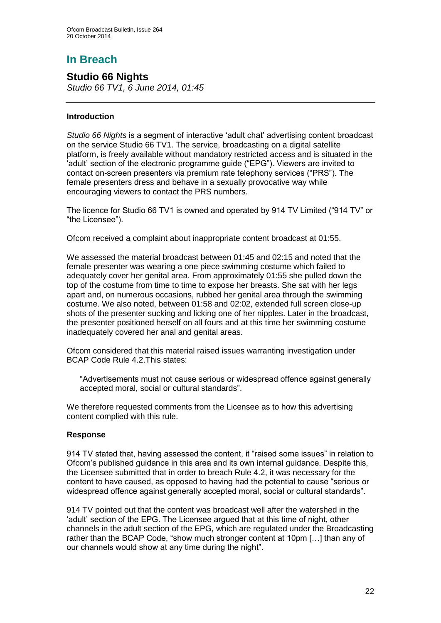# **In Breach**

## **Studio 66 Nights**

*Studio 66 TV1, 6 June 2014, 01:45*

#### **Introduction**

*Studio 66 Nights* is a segment of interactive 'adult chat' advertising content broadcast on the service Studio 66 TV1. The service, broadcasting on a digital satellite platform, is freely available without mandatory restricted access and is situated in the 'adult' section of the electronic programme guide ("EPG"). Viewers are invited to contact on-screen presenters via premium rate telephony services ("PRS"). The female presenters dress and behave in a sexually provocative way while encouraging viewers to contact the PRS numbers.

The licence for Studio 66 TV1 is owned and operated by 914 TV Limited ("914 TV" or "the Licensee").

Ofcom received a complaint about inappropriate content broadcast at 01:55.

We assessed the material broadcast between 01:45 and 02:15 and noted that the female presenter was wearing a one piece swimming costume which failed to adequately cover her genital area. From approximately 01:55 she pulled down the top of the costume from time to time to expose her breasts. She sat with her legs apart and, on numerous occasions, rubbed her genital area through the swimming costume. We also noted, between 01:58 and 02:02, extended full screen close-up shots of the presenter sucking and licking one of her nipples. Later in the broadcast, the presenter positioned herself on all fours and at this time her swimming costume inadequately covered her anal and genital areas.

Ofcom considered that this material raised issues warranting investigation under BCAP Code Rule 4.2.This states:

"Advertisements must not cause serious or widespread offence against generally accepted moral, social or cultural standards".

We therefore requested comments from the Licensee as to how this advertising content complied with this rule.

#### **Response**

914 TV stated that, having assessed the content, it "raised some issues" in relation to Ofcom's published guidance in this area and its own internal guidance. Despite this, the Licensee submitted that in order to breach Rule 4.2, it was necessary for the content to have caused, as opposed to having had the potential to cause "serious or widespread offence against generally accepted moral, social or cultural standards".

914 TV pointed out that the content was broadcast well after the watershed in the 'adult' section of the EPG. The Licensee argued that at this time of night, other channels in the adult section of the EPG, which are regulated under the Broadcasting rather than the BCAP Code, "show much stronger content at 10pm […] than any of our channels would show at any time during the night".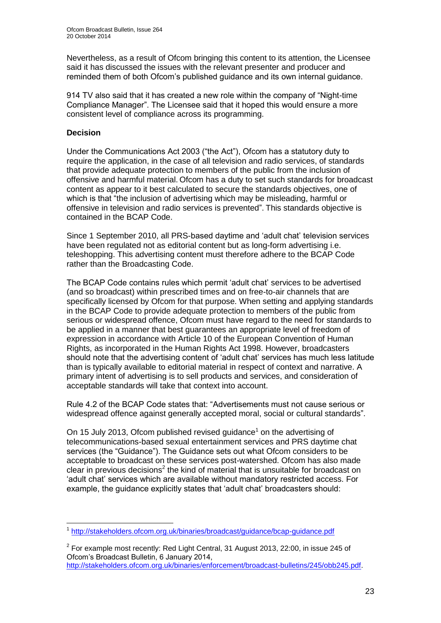Nevertheless, as a result of Ofcom bringing this content to its attention, the Licensee said it has discussed the issues with the relevant presenter and producer and reminded them of both Ofcom's published guidance and its own internal guidance.

914 TV also said that it has created a new role within the company of "Night-time Compliance Manager". The Licensee said that it hoped this would ensure a more consistent level of compliance across its programming.

#### **Decision**

Under the Communications Act 2003 ("the Act"), Ofcom has a statutory duty to require the application, in the case of all television and radio services, of standards that provide adequate protection to members of the public from the inclusion of offensive and harmful material. Ofcom has a duty to set such standards for broadcast content as appear to it best calculated to secure the standards objectives, one of which is that "the inclusion of advertising which may be misleading, harmful or offensive in television and radio services is prevented". This standards objective is contained in the BCAP Code.

Since 1 September 2010, all PRS-based daytime and 'adult chat' television services have been regulated not as editorial content but as long-form advertising i.e. teleshopping. This advertising content must therefore adhere to the BCAP Code rather than the Broadcasting Code.

The BCAP Code contains rules which permit 'adult chat' services to be advertised (and so broadcast) within prescribed times and on free-to-air channels that are specifically licensed by Ofcom for that purpose. When setting and applying standards in the BCAP Code to provide adequate protection to members of the public from serious or widespread offence, Ofcom must have regard to the need for standards to be applied in a manner that best guarantees an appropriate level of freedom of expression in accordance with Article 10 of the European Convention of Human Rights, as incorporated in the Human Rights Act 1998. However, broadcasters should note that the advertising content of 'adult chat' services has much less latitude than is typically available to editorial material in respect of context and narrative. A primary intent of advertising is to sell products and services, and consideration of acceptable standards will take that context into account.

Rule 4.2 of the BCAP Code states that: "Advertisements must not cause serious or widespread offence against generally accepted moral, social or cultural standards".

On 15 July 2013, Ofcom published revised guidance<sup>1</sup> on the advertising of telecommunications-based sexual entertainment services and PRS daytime chat services (the "Guidance"). The Guidance sets out what Ofcom considers to be acceptable to broadcast on these services post-watershed. Ofcom has also made clear in previous decisions<sup>2</sup> the kind of material that is unsuitable for broadcast on 'adult chat' services which are available without mandatory restricted access. For example, the guidance explicitly states that 'adult chat' broadcasters should:

 1 <http://stakeholders.ofcom.org.uk/binaries/broadcast/guidance/bcap-guidance.pdf>

 $2$  For example most recently: Red Light Central, 31 August 2013, 22:00, in issue 245 of Ofcom's Broadcast Bulletin, 6 January 2014, [http://stakeholders.ofcom.org.uk/binaries/enforcement/broadcast-bulletins/245/obb245.pdf.](http://stakeholders.ofcom.org.uk/binaries/enforcement/broadcast-bulletins/245/obb245.pdf)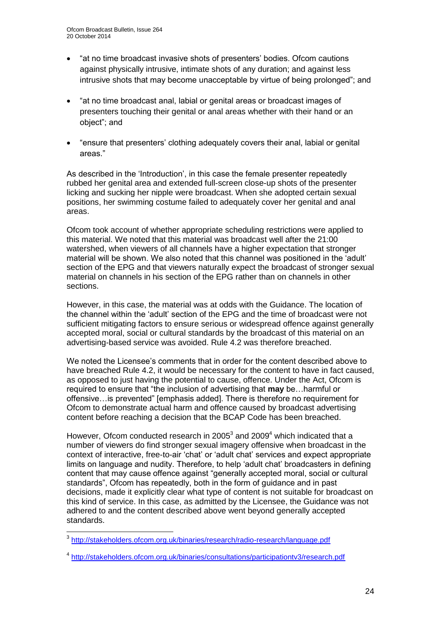- "at no time broadcast invasive shots of presenters' bodies. Ofcom cautions against physically intrusive, intimate shots of any duration; and against less intrusive shots that may become unacceptable by virtue of being prolonged"; and
- "at no time broadcast anal, labial or genital areas or broadcast images of presenters touching their genital or anal areas whether with their hand or an object"; and
- "ensure that presenters' clothing adequately covers their anal, labial or genital areas."

As described in the 'Introduction', in this case the female presenter repeatedly rubbed her genital area and extended full-screen close-up shots of the presenter licking and sucking her nipple were broadcast. When she adopted certain sexual positions, her swimming costume failed to adequately cover her genital and anal areas.

Ofcom took account of whether appropriate scheduling restrictions were applied to this material. We noted that this material was broadcast well after the 21:00 watershed, when viewers of all channels have a higher expectation that stronger material will be shown. We also noted that this channel was positioned in the 'adult' section of the EPG and that viewers naturally expect the broadcast of stronger sexual material on channels in his section of the EPG rather than on channels in other sections.

However, in this case, the material was at odds with the Guidance. The location of the channel within the 'adult' section of the EPG and the time of broadcast were not sufficient mitigating factors to ensure serious or widespread offence against generally accepted moral, social or cultural standards by the broadcast of this material on an advertising-based service was avoided. Rule 4.2 was therefore breached.

We noted the Licensee's comments that in order for the content described above to have breached Rule 4.2, it would be necessary for the content to have in fact caused, as opposed to just having the potential to cause, offence. Under the Act, Ofcom is required to ensure that "the inclusion of advertising that **may** be…harmful or offensive…is prevented" [emphasis added]. There is therefore no requirement for Ofcom to demonstrate actual harm and offence caused by broadcast advertising content before reaching a decision that the BCAP Code has been breached.

However, Ofcom conducted research in 2005 $^3$  and 2009 $^4$  which indicated that a number of viewers do find stronger sexual imagery offensive when broadcast in the context of interactive, free-to-air 'chat' or 'adult chat' services and expect appropriate limits on language and nudity. Therefore, to help 'adult chat' broadcasters in defining content that may cause offence against "generally accepted moral, social or cultural standards", Ofcom has repeatedly, both in the form of guidance and in past decisions, made it explicitly clear what type of content is not suitable for broadcast on this kind of service. In this case, as admitted by the Licensee, the Guidance was not adhered to and the content described above went beyond generally accepted standards.

 3 <http://stakeholders.ofcom.org.uk/binaries/research/radio-research/language.pdf>

<sup>4</sup> <http://stakeholders.ofcom.org.uk/binaries/consultations/participationtv3/research.pdf>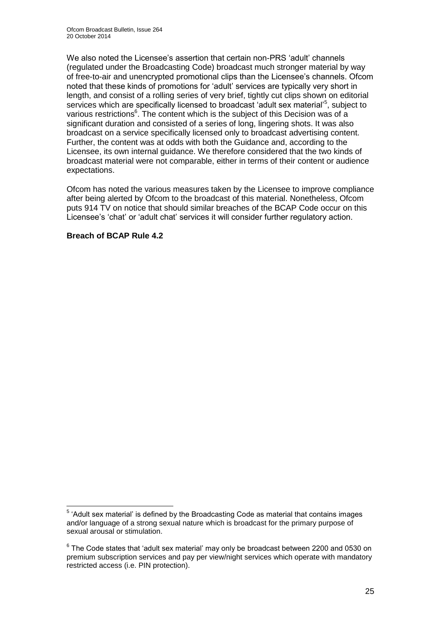We also noted the Licensee's assertion that certain non-PRS 'adult' channels (regulated under the Broadcasting Code) broadcast much stronger material by way of free-to-air and unencrypted promotional clips than the Licensee's channels. Ofcom noted that these kinds of promotions for 'adult' services are typically very short in length, and consist of a rolling series of very brief, tightly cut clips shown on editorial services which are specifically licensed to broadcast 'adult sex material'<sup>5</sup>, subject to various restrictions<sup>6</sup>. The content which is the subject of this Decision was of a significant duration and consisted of a series of long, lingering shots. It was also broadcast on a service specifically licensed only to broadcast advertising content. Further, the content was at odds with both the Guidance and, according to the Licensee, its own internal guidance. We therefore considered that the two kinds of broadcast material were not comparable, either in terms of their content or audience expectations.

Ofcom has noted the various measures taken by the Licensee to improve compliance after being alerted by Ofcom to the broadcast of this material. Nonetheless, Ofcom puts 914 TV on notice that should similar breaches of the BCAP Code occur on this Licensee's 'chat' or 'adult chat' services it will consider further regulatory action.

#### **Breach of BCAP Rule 4.2**

 5 'Adult sex material' is defined by the Broadcasting Code as material that contains images and/or language of a strong sexual nature which is broadcast for the primary purpose of sexual arousal or stimulation.

 $6$  The Code states that 'adult sex material' may only be broadcast between 2200 and 0530 on premium subscription services and pay per view/night services which operate with mandatory restricted access (i.e. PIN protection).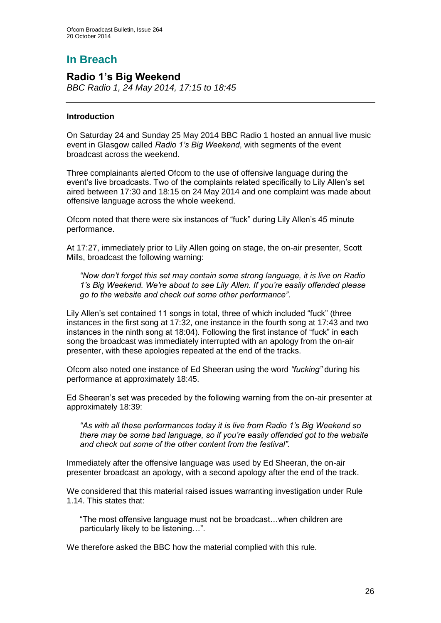## **In Breach**

## **Radio 1's Big Weekend**

*BBC Radio 1, 24 May 2014, 17:15 to 18:45*

#### **Introduction**

On Saturday 24 and Sunday 25 May 2014 BBC Radio 1 hosted an annual live music event in Glasgow called *Radio 1's Big Weekend*, with segments of the event broadcast across the weekend.

Three complainants alerted Ofcom to the use of offensive language during the event's live broadcasts. Two of the complaints related specifically to Lily Allen's set aired between 17:30 and 18:15 on 24 May 2014 and one complaint was made about offensive language across the whole weekend.

Ofcom noted that there were six instances of "fuck" during Lily Allen's 45 minute performance.

At 17:27, immediately prior to Lily Allen going on stage, the on-air presenter, Scott Mills, broadcast the following warning:

*"Now don't forget this set may contain some strong language, it is live on Radio 1's Big Weekend. We're about to see Lily Allen. If you're easily offended please go to the website and check out some other performance"*.

Lily Allen's set contained 11 songs in total, three of which included "fuck" (three instances in the first song at 17:32, one instance in the fourth song at 17:43 and two instances in the ninth song at 18:04). Following the first instance of "fuck" in each song the broadcast was immediately interrupted with an apology from the on-air presenter, with these apologies repeated at the end of the tracks.

Ofcom also noted one instance of Ed Sheeran using the word *"fucking"* during his performance at approximately 18:45.

Ed Sheeran's set was preceded by the following warning from the on-air presenter at approximately 18:39:

*"As with all these performances today it is live from Radio 1's Big Weekend so there may be some bad language, so if you're easily offended got to the website and check out some of the other content from the festival".*

Immediately after the offensive language was used by Ed Sheeran, the on-air presenter broadcast an apology, with a second apology after the end of the track.

We considered that this material raised issues warranting investigation under Rule 1.14. This states that:

"The most offensive language must not be broadcast…when children are particularly likely to be listening…".

We therefore asked the BBC how the material complied with this rule.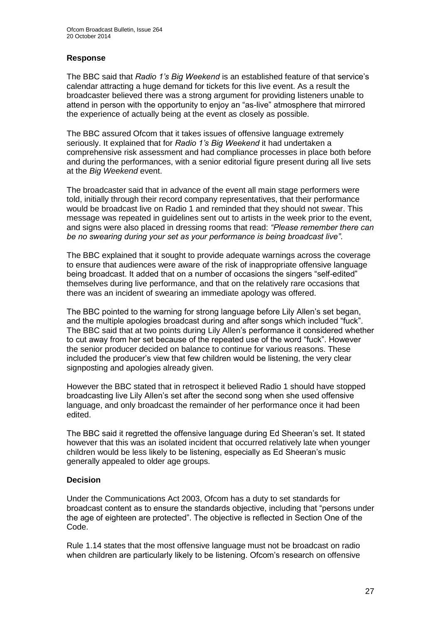#### **Response**

The BBC said that *Radio 1's Big Weekend* is an established feature of that service's calendar attracting a huge demand for tickets for this live event. As a result the broadcaster believed there was a strong argument for providing listeners unable to attend in person with the opportunity to enjoy an "as-live" atmosphere that mirrored the experience of actually being at the event as closely as possible.

The BBC assured Ofcom that it takes issues of offensive language extremely seriously. It explained that for *Radio 1's Big Weekend* it had undertaken a comprehensive risk assessment and had compliance processes in place both before and during the performances, with a senior editorial figure present during all live sets at the *Big Weekend* event.

The broadcaster said that in advance of the event all main stage performers were told, initially through their record company representatives, that their performance would be broadcast live on Radio 1 and reminded that they should not swear. This message was repeated in guidelines sent out to artists in the week prior to the event, and signs were also placed in dressing rooms that read: *"Please remember there can be no swearing during your set as your performance is being broadcast live"*.

The BBC explained that it sought to provide adequate warnings across the coverage to ensure that audiences were aware of the risk of inappropriate offensive language being broadcast. It added that on a number of occasions the singers "self-edited" themselves during live performance, and that on the relatively rare occasions that there was an incident of swearing an immediate apology was offered.

The BBC pointed to the warning for strong language before Lily Allen's set began, and the multiple apologies broadcast during and after songs which included "fuck". The BBC said that at two points during Lily Allen's performance it considered whether to cut away from her set because of the repeated use of the word "fuck". However the senior producer decided on balance to continue for various reasons. These included the producer's view that few children would be listening, the very clear signposting and apologies already given.

However the BBC stated that in retrospect it believed Radio 1 should have stopped broadcasting live Lily Allen's set after the second song when she used offensive language, and only broadcast the remainder of her performance once it had been edited.

The BBC said it regretted the offensive language during Ed Sheeran's set. It stated however that this was an isolated incident that occurred relatively late when younger children would be less likely to be listening, especially as Ed Sheeran's music generally appealed to older age groups.

#### **Decision**

Under the Communications Act 2003, Ofcom has a duty to set standards for broadcast content as to ensure the standards objective, including that "persons under the age of eighteen are protected". The objective is reflected in Section One of the Code.

Rule 1.14 states that the most offensive language must not be broadcast on radio when children are particularly likely to be listening. Ofcom's research on offensive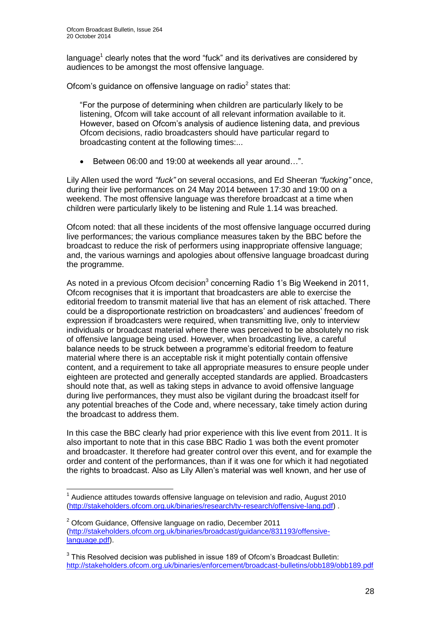language<sup>1</sup> clearly notes that the word "fuck" and its derivatives are considered by audiences to be amongst the most offensive language.

Ofcom's guidance on offensive language on radio $2$  states that:

"For the purpose of determining when children are particularly likely to be listening, Ofcom will take account of all relevant information available to it. However, based on Ofcom's analysis of audience listening data, and previous Ofcom decisions, radio broadcasters should have particular regard to broadcasting content at the following times:...

Between 06:00 and 19:00 at weekends all year around…".

Lily Allen used the word *"fuck"* on several occasions, and Ed Sheeran *"fucking"* once, during their live performances on 24 May 2014 between 17:30 and 19:00 on a weekend. The most offensive language was therefore broadcast at a time when children were particularly likely to be listening and Rule 1.14 was breached.

Ofcom noted: that all these incidents of the most offensive language occurred during live performances; the various compliance measures taken by the BBC before the broadcast to reduce the risk of performers using inappropriate offensive language; and, the various warnings and apologies about offensive language broadcast during the programme.

As noted in a previous Ofcom decision $3$  concerning Radio 1's Big Weekend in 2011, Ofcom recognises that it is important that broadcasters are able to exercise the editorial freedom to transmit material live that has an element of risk attached. There could be a disproportionate restriction on broadcasters' and audiences' freedom of expression if broadcasters were required, when transmitting live, only to interview individuals or broadcast material where there was perceived to be absolutely no risk of offensive language being used. However, when broadcasting live, a careful balance needs to be struck between a programme's editorial freedom to feature material where there is an acceptable risk it might potentially contain offensive content, and a requirement to take all appropriate measures to ensure people under eighteen are protected and generally accepted standards are applied. Broadcasters should note that, as well as taking steps in advance to avoid offensive language during live performances, they must also be vigilant during the broadcast itself for any potential breaches of the Code and, where necessary, take timely action during the broadcast to address them.

In this case the BBC clearly had prior experience with this live event from 2011. It is also important to note that in this case BBC Radio 1 was both the event promoter and broadcaster. It therefore had greater control over this event, and for example the order and content of the performances, than if it was one for which it had negotiated the rights to broadcast. Also as Lily Allen's material was well known, and her use of

<sup>1</sup>  $1$  Audience attitudes towards offensive language on television and radio, August 2010 [\(http://stakeholders.ofcom.org.uk/binaries/research/tv-research/offensive-lang.pdf\)](http://stakeholders.ofcom.org.uk/binaries/research/tv-research/offensive-lang.pdf) .

 $2$  Ofcom Guidance, Offensive language on radio, December 2011 [\(http://stakeholders.ofcom.org.uk/binaries/broadcast/guidance/831193/offensive](http://stakeholders.ofcom.org.uk/binaries/broadcast/guidance/831193/offensive-language.pdf)[language.pdf\)](http://stakeholders.ofcom.org.uk/binaries/broadcast/guidance/831193/offensive-language.pdf).

 $3$  This Resolved decision was published in issue 189 of Ofcom's Broadcast Bulletin: <http://stakeholders.ofcom.org.uk/binaries/enforcement/broadcast-bulletins/obb189/obb189.pdf>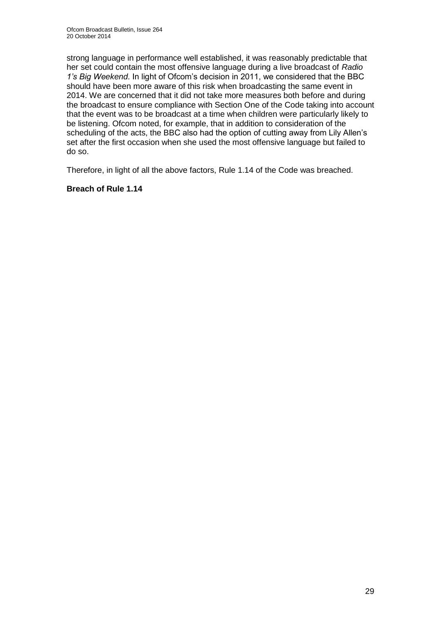strong language in performance well established, it was reasonably predictable that her set could contain the most offensive language during a live broadcast of *Radio 1's Big Weekend*. In light of Ofcom's decision in 2011, we considered that the BBC should have been more aware of this risk when broadcasting the same event in 2014. We are concerned that it did not take more measures both before and during the broadcast to ensure compliance with Section One of the Code taking into account that the event was to be broadcast at a time when children were particularly likely to be listening. Ofcom noted, for example, that in addition to consideration of the scheduling of the acts, the BBC also had the option of cutting away from Lily Allen's set after the first occasion when she used the most offensive language but failed to do so.

Therefore, in light of all the above factors, Rule 1.14 of the Code was breached.

#### **Breach of Rule 1.14**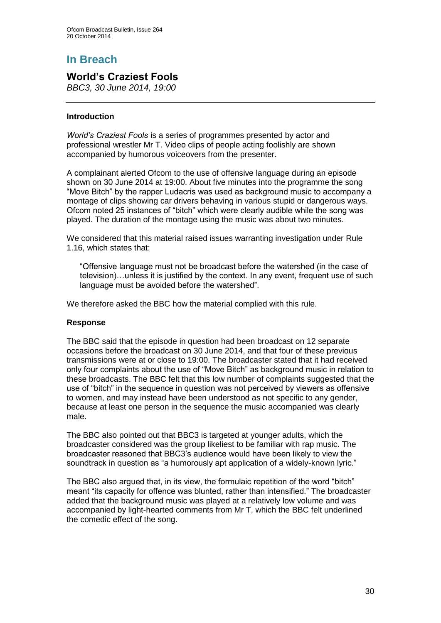## **In Breach**

## **World's Craziest Fools**

*BBC3, 30 June 2014, 19:00*

#### **Introduction**

*World's Craziest Fools* is a series of programmes presented by actor and professional wrestler Mr T. Video clips of people acting foolishly are shown accompanied by humorous voiceovers from the presenter.

A complainant alerted Ofcom to the use of offensive language during an episode shown on 30 June 2014 at 19:00. About five minutes into the programme the song "Move Bitch" by the rapper Ludacris was used as background music to accompany a montage of clips showing car drivers behaving in various stupid or dangerous ways. Ofcom noted 25 instances of "bitch" which were clearly audible while the song was played. The duration of the montage using the music was about two minutes.

We considered that this material raised issues warranting investigation under Rule 1.16, which states that:

"Offensive language must not be broadcast before the watershed (in the case of television)…unless it is justified by the context. In any event, frequent use of such language must be avoided before the watershed".

We therefore asked the BBC how the material complied with this rule.

#### **Response**

The BBC said that the episode in question had been broadcast on 12 separate occasions before the broadcast on 30 June 2014, and that four of these previous transmissions were at or close to 19:00. The broadcaster stated that it had received only four complaints about the use of "Move Bitch" as background music in relation to these broadcasts. The BBC felt that this low number of complaints suggested that the use of "bitch" in the sequence in question was not perceived by viewers as offensive to women, and may instead have been understood as not specific to any gender, because at least one person in the sequence the music accompanied was clearly male.

The BBC also pointed out that BBC3 is targeted at younger adults, which the broadcaster considered was the group likeliest to be familiar with rap music. The broadcaster reasoned that BBC3's audience would have been likely to view the soundtrack in question as "a humorously apt application of a widely-known lyric."

The BBC also argued that, in its view, the formulaic repetition of the word "bitch" meant "its capacity for offence was blunted, rather than intensified." The broadcaster added that the background music was played at a relatively low volume and was accompanied by light-hearted comments from Mr T, which the BBC felt underlined the comedic effect of the song.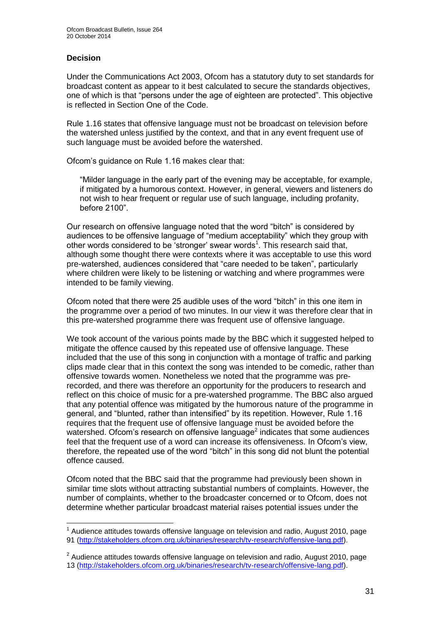#### **Decision**

1

Under the Communications Act 2003, Ofcom has a statutory duty to set standards for broadcast content as appear to it best calculated to secure the standards objectives, one of which is that "persons under the age of eighteen are protected". This objective is reflected in Section One of the Code.

Rule 1.16 states that offensive language must not be broadcast on television before the watershed unless justified by the context, and that in any event frequent use of such language must be avoided before the watershed.

Ofcom's guidance on Rule 1.16 makes clear that:

"Milder language in the early part of the evening may be acceptable, for example, if mitigated by a humorous context. However, in general, viewers and listeners do not wish to hear frequent or regular use of such language, including profanity, before 2100".

Our research on offensive language noted that the word "bitch" is considered by audiences to be offensive language of "medium acceptability" which they group with other words considered to be 'stronger' swear words<sup>1</sup>. This research said that, although some thought there were contexts where it was acceptable to use this word pre-watershed, audiences considered that "care needed to be taken", particularly where children were likely to be listening or watching and where programmes were intended to be family viewing.

Ofcom noted that there were 25 audible uses of the word "bitch" in this one item in the programme over a period of two minutes. In our view it was therefore clear that in this pre-watershed programme there was frequent use of offensive language.

We took account of the various points made by the BBC which it suggested helped to mitigate the offence caused by this repeated use of offensive language. These included that the use of this song in conjunction with a montage of traffic and parking clips made clear that in this context the song was intended to be comedic, rather than offensive towards women. Nonetheless we noted that the programme was prerecorded, and there was therefore an opportunity for the producers to research and reflect on this choice of music for a pre-watershed programme. The BBC also argued that any potential offence was mitigated by the humorous nature of the programme in general, and "blunted, rather than intensified" by its repetition. However, Rule 1.16 requires that the frequent use of offensive language must be avoided before the watershed. Ofcom's research on offensive language<sup>2</sup> indicates that some audiences feel that the frequent use of a word can increase its offensiveness. In Ofcom's view, therefore, the repeated use of the word "bitch" in this song did not blunt the potential offence caused.

Ofcom noted that the BBC said that the programme had previously been shown in similar time slots without attracting substantial numbers of complaints. However, the number of complaints, whether to the broadcaster concerned or to Ofcom, does not determine whether particular broadcast material raises potential issues under the

 $1$  Audience attitudes towards offensive language on television and radio, August 2010, page 91 [\(http://stakeholders.ofcom.org.uk/binaries/research/tv-research/offensive-lang.pdf\)](http://stakeholders.ofcom.org.uk/binaries/research/tv-research/offensive-lang.pdf).

 $2$  Audience attitudes towards offensive language on television and radio, August 2010, page 13 [\(http://stakeholders.ofcom.org.uk/binaries/research/tv-research/offensive-lang.pdf\)](http://stakeholders.ofcom.org.uk/binaries/research/tv-research/offensive-lang.pdf).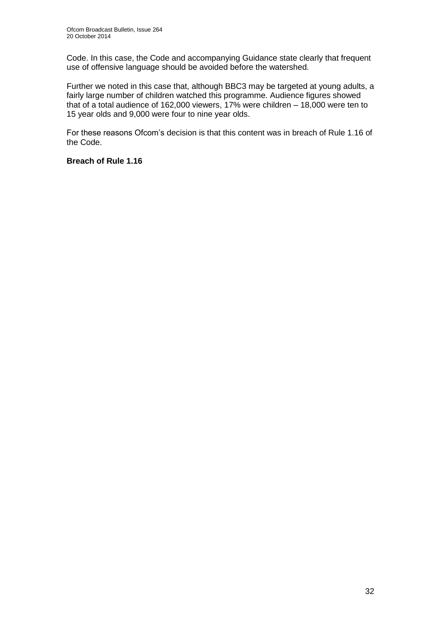Code. In this case, the Code and accompanying Guidance state clearly that frequent use of offensive language should be avoided before the watershed.

Further we noted in this case that, although BBC3 may be targeted at young adults, a fairly large number of children watched this programme. Audience figures showed that of a total audience of 162,000 viewers, 17% were children – 18,000 were ten to 15 year olds and 9,000 were four to nine year olds.

For these reasons Ofcom's decision is that this content was in breach of Rule 1.16 of the Code.

#### **Breach of Rule 1.16**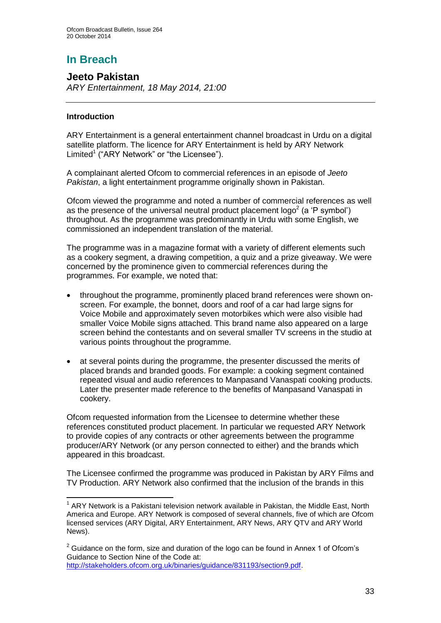# **In Breach**

**Jeeto Pakistan** *ARY Entertainment, 18 May 2014, 21:00*

#### **Introduction**

ARY Entertainment is a general entertainment channel broadcast in Urdu on a digital satellite platform. The licence for ARY Entertainment is held by ARY Network Limited<sup>1</sup> ("ARY Network" or "the Licensee").

A complainant alerted Ofcom to commercial references in an episode of *Jeeto Pakistan*, a light entertainment programme originally shown in Pakistan.

Ofcom viewed the programme and noted a number of commercial references as well as the presence of the universal neutral product placement  $\log o^2$  (a 'P symbol') throughout. As the programme was predominantly in Urdu with some English, we commissioned an independent translation of the material.

The programme was in a magazine format with a variety of different elements such as a cookery segment, a drawing competition, a quiz and a prize giveaway. We were concerned by the prominence given to commercial references during the programmes. For example, we noted that:

- throughout the programme, prominently placed brand references were shown onscreen. For example, the bonnet, doors and roof of a car had large signs for Voice Mobile and approximately seven motorbikes which were also visible had smaller Voice Mobile signs attached. This brand name also appeared on a large screen behind the contestants and on several smaller TV screens in the studio at various points throughout the programme.
- at several points during the programme, the presenter discussed the merits of placed brands and branded goods. For example: a cooking segment contained repeated visual and audio references to Manpasand Vanaspati cooking products. Later the presenter made reference to the benefits of Manpasand Vanaspati in cookery.

Ofcom requested information from the Licensee to determine whether these references constituted product placement. In particular we requested ARY Network to provide copies of any contracts or other agreements between the programme producer/ARY Network (or any person connected to either) and the brands which appeared in this broadcast.

The Licensee confirmed the programme was produced in Pakistan by ARY Films and TV Production. ARY Network also confirmed that the inclusion of the brands in this

<sup>1</sup> <sup>1</sup> ARY Network is a Pakistani television network available in Pakistan, the Middle East, North America and Europe. ARY Network is composed of several channels, five of which are Ofcom licensed services (ARY Digital, ARY Entertainment, ARY News, ARY QTV and ARY World News).

 $2^2$  Guidance on the form, size and duration of the logo can be found in Annex 1 of Ofcom's Guidance to Section Nine of the Code at: [http://stakeholders.ofcom.org.uk/binaries/guidance/831193/section9.pdf.](http://stakeholders.ofcom.org.uk/binaries/guidance/831193/section9.pdf)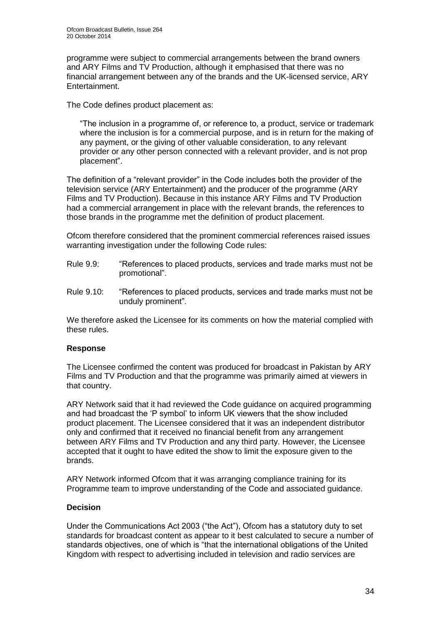programme were subject to commercial arrangements between the brand owners and ARY Films and TV Production, although it emphasised that there was no financial arrangement between any of the brands and the UK-licensed service, ARY Entertainment.

The Code defines product placement as:

"The inclusion in a programme of, or reference to, a product, service or trademark where the inclusion is for a commercial purpose, and is in return for the making of any payment, or the giving of other valuable consideration, to any relevant provider or any other person connected with a relevant provider, and is not prop placement".

The definition of a "relevant provider" in the Code includes both the provider of the television service (ARY Entertainment) and the producer of the programme (ARY Films and TV Production). Because in this instance ARY Films and TV Production had a commercial arrangement in place with the relevant brands, the references to those brands in the programme met the definition of product placement.

Ofcom therefore considered that the prominent commercial references raised issues warranting investigation under the following Code rules:

- Rule 9.9: "References to placed products, services and trade marks must not be promotional".
- Rule 9.10: "References to placed products, services and trade marks must not be unduly prominent".

We therefore asked the Licensee for its comments on how the material complied with these rules.

#### **Response**

The Licensee confirmed the content was produced for broadcast in Pakistan by ARY Films and TV Production and that the programme was primarily aimed at viewers in that country.

ARY Network said that it had reviewed the Code guidance on acquired programming and had broadcast the 'P symbol' to inform UK viewers that the show included product placement. The Licensee considered that it was an independent distributor only and confirmed that it received no financial benefit from any arrangement between ARY Films and TV Production and any third party. However, the Licensee accepted that it ought to have edited the show to limit the exposure given to the brands.

ARY Network informed Ofcom that it was arranging compliance training for its Programme team to improve understanding of the Code and associated guidance.

#### **Decision**

Under the Communications Act 2003 ("the Act"), Ofcom has a statutory duty to set standards for broadcast content as appear to it best calculated to secure a number of standards objectives, one of which is "that the international obligations of the United Kingdom with respect to advertising included in television and radio services are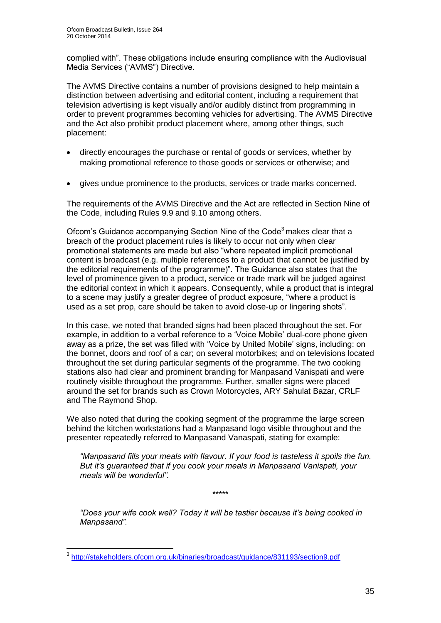complied with". These obligations include ensuring compliance with the Audiovisual Media Services ("AVMS") Directive.

The AVMS Directive contains a number of provisions designed to help maintain a distinction between advertising and editorial content, including a requirement that television advertising is kept visually and/or audibly distinct from programming in order to prevent programmes becoming vehicles for advertising. The AVMS Directive and the Act also prohibit product placement where, among other things, such placement:

- directly encourages the purchase or rental of goods or services, whether by making promotional reference to those goods or services or otherwise; and
- gives undue prominence to the products, services or trade marks concerned.

The requirements of the AVMS Directive and the Act are reflected in Section Nine of the Code, including Rules 9.9 and 9.10 among others.

Ofcom's Guidance accompanying Section Nine of the Code<sup>3</sup> makes clear that a breach of the product placement rules is likely to occur not only when clear promotional statements are made but also "where repeated implicit promotional content is broadcast (e.g. multiple references to a product that cannot be justified by the editorial requirements of the programme)". The Guidance also states that the level of prominence given to a product, service or trade mark will be judged against the editorial context in which it appears. Consequently, while a product that is integral to a scene may justify a greater degree of product exposure, "where a product is used as a set prop, care should be taken to avoid close-up or lingering shots".

In this case, we noted that branded signs had been placed throughout the set. For example, in addition to a verbal reference to a 'Voice Mobile' dual-core phone given away as a prize, the set was filled with 'Voice by United Mobile' signs, including: on the bonnet, doors and roof of a car; on several motorbikes; and on televisions located throughout the set during particular segments of the programme. The two cooking stations also had clear and prominent branding for Manpasand Vanispati and were routinely visible throughout the programme. Further, smaller signs were placed around the set for brands such as Crown Motorcycles, ARY Sahulat Bazar, CRLF and The Raymond Shop.

We also noted that during the cooking segment of the programme the large screen behind the kitchen workstations had a Manpasand logo visible throughout and the presenter repeatedly referred to Manpasand Vanaspati, stating for example:

*"Manpasand fills your meals with flavour. If your food is tasteless it spoils the fun. But it's guaranteed that if you cook your meals in Manpasand Vanispati, your meals will be wonderful".*

\*\*\*\*\*

*"Does your wife cook well? Today it will be tastier because it's being cooked in Manpasand".*

 3 <http://stakeholders.ofcom.org.uk/binaries/broadcast/guidance/831193/section9.pdf>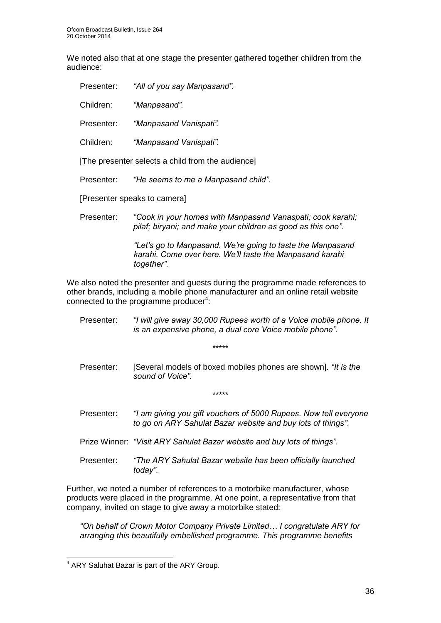We noted also that at one stage the presenter gathered together children from the audience:

| Presenter: | "All of you say Manpasand".                                                                                                |
|------------|----------------------------------------------------------------------------------------------------------------------------|
| Children:  | "Manpasand".                                                                                                               |
| Presenter: | "Manpasand Vanispati".                                                                                                     |
| Children:  | "Manpasand Vanispati".                                                                                                     |
|            | [The presenter selects a child from the audience]                                                                          |
| Presenter: | "He seems to me a Manpasand child".                                                                                        |
|            | [Presenter speaks to camera]                                                                                               |
| Presenter: | "Cook in your homes with Manpasand Vanaspati; cook karahi;<br>pilaf; biryani; and make your children as good as this one". |
|            | "Let's go to Manpasand. We're going to taste the Manpasand<br>karahi. Come over here. We'll taste the Manpasand karahi     |

*together".*

We also noted the presenter and guests during the programme made references to other brands, including a mobile phone manufacturer and an online retail website connected to the programme producer $4$ :

| Presenter: | "I will give away 30,000 Rupees worth of a Voice mobile phone. It<br>is an expensive phone, a dual core Voice mobile phone".    |
|------------|---------------------------------------------------------------------------------------------------------------------------------|
|            | *****                                                                                                                           |
| Presenter: | [Several models of boxed mobiles phones are shown]. "It is the<br>sound of Voice".                                              |
|            | *****                                                                                                                           |
| Presenter: | "I am giving you gift vouchers of 5000 Rupees. Now tell everyone<br>to go on ARY Sahulat Bazar website and buy lots of things". |
|            | Prize Winner: "Visit ARY Sahulat Bazar website and buy lots of things".                                                         |
| Presenter: | "The ARY Sahulat Bazar website has been officially launched<br>today".                                                          |

Further, we noted a number of references to a motorbike manufacturer, whose products were placed in the programme. At one point, a representative from that company, invited on stage to give away a motorbike stated:

*"On behalf of Crown Motor Company Private Limited… I congratulate ARY for arranging this beautifully embellished programme. This programme benefits* 

 4 ARY Saluhat Bazar is part of the ARY Group.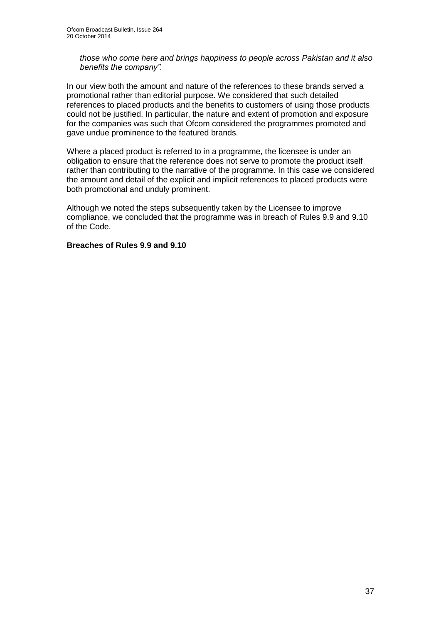*those who come here and brings happiness to people across Pakistan and it also benefits the company".* 

In our view both the amount and nature of the references to these brands served a promotional rather than editorial purpose. We considered that such detailed references to placed products and the benefits to customers of using those products could not be justified. In particular, the nature and extent of promotion and exposure for the companies was such that Ofcom considered the programmes promoted and gave undue prominence to the featured brands.

Where a placed product is referred to in a programme, the licensee is under an obligation to ensure that the reference does not serve to promote the product itself rather than contributing to the narrative of the programme. In this case we considered the amount and detail of the explicit and implicit references to placed products were both promotional and unduly prominent.

Although we noted the steps subsequently taken by the Licensee to improve compliance, we concluded that the programme was in breach of Rules 9.9 and 9.10 of the Code.

#### **Breaches of Rules 9.9 and 9.10**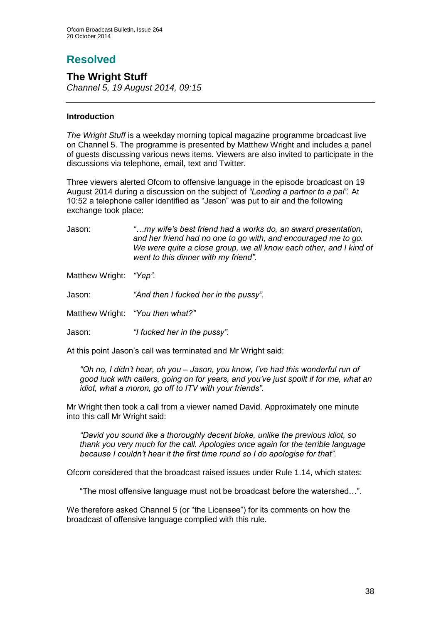# **Resolved**

## **The Wright Stuff**

*Channel 5, 19 August 2014, 09:15*

#### **Introduction**

*The Wright Stuff* is a weekday morning topical magazine programme broadcast live on Channel 5. The programme is presented by Matthew Wright and includes a panel of guests discussing various news items. Viewers are also invited to participate in the discussions via telephone, email, text and Twitter.

Three viewers alerted Ofcom to offensive language in the episode broadcast on 19 August 2014 during a discussion on the subject of *"Lending a partner to a pal".* At 10:52 a telephone caller identified as "Jason" was put to air and the following exchange took place:

Jason: *"…my wife's best friend had a works do, an award presentation, and her friend had no one to go with, and encouraged me to go. We were quite a close group, we all know each other, and I kind of went to this dinner with my friend".*

Matthew Wright: *"Yep".*

Jason: *"And then I fucked her in the pussy".*

Matthew Wright: *"You then what?"*

Jason: *"I fucked her in the pussy".*

At this point Jason's call was terminated and Mr Wright said:

*"Oh no, I didn't hear, oh you – Jason, you know, I've had this wonderful run of good luck with callers, going on for years, and you've just spoilt if for me, what an idiot, what a moron, go off to ITV with your friends".*

Mr Wright then took a call from a viewer named David. Approximately one minute into this call Mr Wright said:

*"David you sound like a thoroughly decent bloke, unlike the previous idiot, so thank you very much for the call. Apologies once again for the terrible language because I couldn't hear it the first time round so I do apologise for that".*

Ofcom considered that the broadcast raised issues under Rule 1.14, which states:

"The most offensive language must not be broadcast before the watershed…".

We therefore asked Channel 5 (or "the Licensee") for its comments on how the broadcast of offensive language complied with this rule.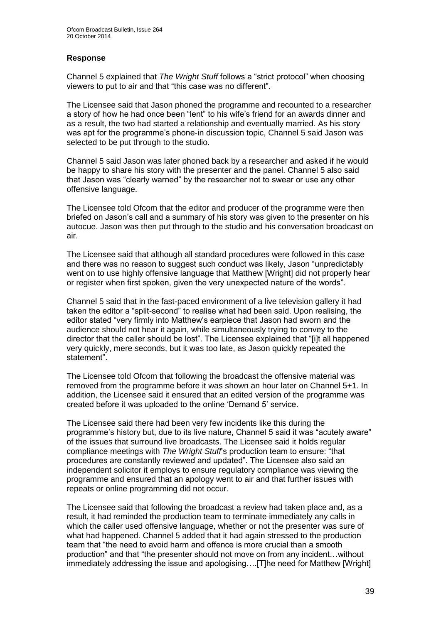#### **Response**

Channel 5 explained that *The Wright Stuff* follows a "strict protocol" when choosing viewers to put to air and that "this case was no different".

The Licensee said that Jason phoned the programme and recounted to a researcher a story of how he had once been "lent" to his wife's friend for an awards dinner and as a result, the two had started a relationship and eventually married. As his story was apt for the programme's phone-in discussion topic, Channel 5 said Jason was selected to be put through to the studio.

Channel 5 said Jason was later phoned back by a researcher and asked if he would be happy to share his story with the presenter and the panel. Channel 5 also said that Jason was "clearly warned" by the researcher not to swear or use any other offensive language.

The Licensee told Ofcom that the editor and producer of the programme were then briefed on Jason's call and a summary of his story was given to the presenter on his autocue. Jason was then put through to the studio and his conversation broadcast on air.

The Licensee said that although all standard procedures were followed in this case and there was no reason to suggest such conduct was likely. Jason "unpredictably went on to use highly offensive language that Matthew [Wright] did not properly hear or register when first spoken, given the very unexpected nature of the words".

Channel 5 said that in the fast-paced environment of a live television gallery it had taken the editor a "split-second" to realise what had been said. Upon realising, the editor stated "very firmly into Matthew's earpiece that Jason had sworn and the audience should not hear it again, while simultaneously trying to convey to the director that the caller should be lost". The Licensee explained that "[i]t all happened very quickly, mere seconds, but it was too late, as Jason quickly repeated the statement".

The Licensee told Ofcom that following the broadcast the offensive material was removed from the programme before it was shown an hour later on Channel 5+1. In addition, the Licensee said it ensured that an edited version of the programme was created before it was uploaded to the online 'Demand 5' service.

The Licensee said there had been very few incidents like this during the programme's history but, due to its live nature, Channel 5 said it was "acutely aware" of the issues that surround live broadcasts. The Licensee said it holds regular compliance meetings with *The Wright Stuff*'s production team to ensure: "that procedures are constantly reviewed and updated". The Licensee also said an independent solicitor it employs to ensure regulatory compliance was viewing the programme and ensured that an apology went to air and that further issues with repeats or online programming did not occur.

The Licensee said that following the broadcast a review had taken place and, as a result, it had reminded the production team to terminate immediately any calls in which the caller used offensive language, whether or not the presenter was sure of what had happened. Channel 5 added that it had again stressed to the production team that "the need to avoid harm and offence is more crucial than a smooth production" and that "the presenter should not move on from any incident…without immediately addressing the issue and apologising….[T]he need for Matthew [Wright]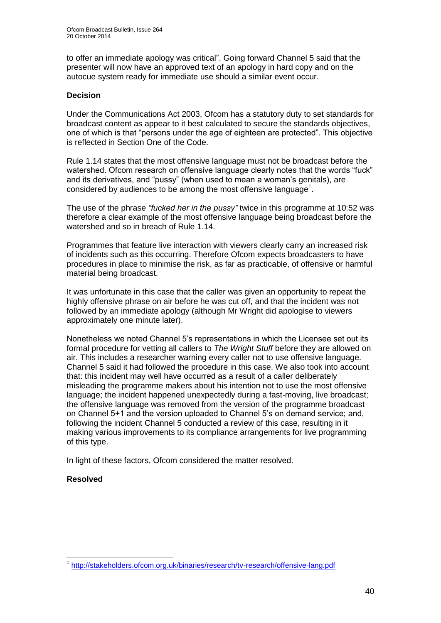to offer an immediate apology was critical". Going forward Channel 5 said that the presenter will now have an approved text of an apology in hard copy and on the autocue system ready for immediate use should a similar event occur.

#### **Decision**

Under the Communications Act 2003, Ofcom has a statutory duty to set standards for broadcast content as appear to it best calculated to secure the standards objectives, one of which is that "persons under the age of eighteen are protected". This objective is reflected in Section One of the Code.

Rule 1.14 states that the most offensive language must not be broadcast before the watershed. Ofcom research on offensive language clearly notes that the words "fuck" and its derivatives, and "pussy" (when used to mean a woman's genitals), are considered by audiences to be among the most offensive language $<sup>1</sup>$ .</sup>

The use of the phrase *"fucked her in the pussy"* twice in this programme at 10:52 was therefore a clear example of the most offensive language being broadcast before the watershed and so in breach of Rule 1.14.

Programmes that feature live interaction with viewers clearly carry an increased risk of incidents such as this occurring. Therefore Ofcom expects broadcasters to have procedures in place to minimise the risk, as far as practicable, of offensive or harmful material being broadcast.

It was unfortunate in this case that the caller was given an opportunity to repeat the highly offensive phrase on air before he was cut off, and that the incident was not followed by an immediate apology (although Mr Wright did apologise to viewers approximately one minute later).

Nonetheless we noted Channel 5's representations in which the Licensee set out its formal procedure for vetting all callers to *The Wright Stuff* before they are allowed on air. This includes a researcher warning every caller not to use offensive language. Channel 5 said it had followed the procedure in this case. We also took into account that: this incident may well have occurred as a result of a caller deliberately misleading the programme makers about his intention not to use the most offensive language; the incident happened unexpectedly during a fast-moving, live broadcast; the offensive language was removed from the version of the programme broadcast on Channel 5+1 and the version uploaded to Channel 5's on demand service; and, following the incident Channel 5 conducted a review of this case, resulting in it making various improvements to its compliance arrangements for live programming of this type.

In light of these factors, Ofcom considered the matter resolved.

#### **Resolved**

1

<sup>1</sup> <http://stakeholders.ofcom.org.uk/binaries/research/tv-research/offensive-lang.pdf>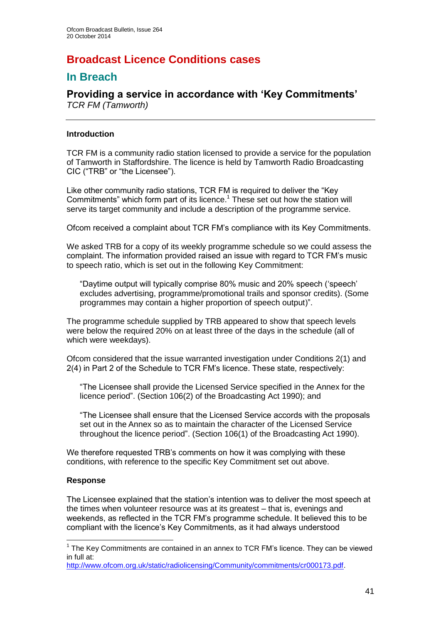## **Broadcast Licence Conditions cases**

## **In Breach**

## **Providing a service in accordance with 'Key Commitments'** *TCR FM (Tamworth)*

#### **Introduction**

TCR FM is a community radio station licensed to provide a service for the population of Tamworth in Staffordshire. The licence is held by Tamworth Radio Broadcasting CIC ("TRB" or "the Licensee").

Like other community radio stations, TCR FM is required to deliver the "Key Commitments" which form part of its licence.<sup>1</sup> These set out how the station will serve its target community and include a description of the programme service.

Ofcom received a complaint about TCR FM's compliance with its Key Commitments.

We asked TRB for a copy of its weekly programme schedule so we could assess the complaint. The information provided raised an issue with regard to TCR FM's music to speech ratio, which is set out in the following Key Commitment:

"Daytime output will typically comprise 80% music and 20% speech ('speech' excludes advertising, programme/promotional trails and sponsor credits). (Some programmes may contain a higher proportion of speech output)".

The programme schedule supplied by TRB appeared to show that speech levels were below the required 20% on at least three of the days in the schedule (all of which were weekdays).

Ofcom considered that the issue warranted investigation under Conditions 2(1) and 2(4) in Part 2 of the Schedule to TCR FM's licence. These state, respectively:

"The Licensee shall provide the Licensed Service specified in the Annex for the licence period". (Section 106(2) of the Broadcasting Act 1990); and

"The Licensee shall ensure that the Licensed Service accords with the proposals set out in the Annex so as to maintain the character of the Licensed Service throughout the licence period". (Section 106(1) of the Broadcasting Act 1990).

We therefore requested TRB's comments on how it was complying with these conditions, with reference to the specific Key Commitment set out above.

#### **Response**

1

The Licensee explained that the station's intention was to deliver the most speech at the times when volunteer resource was at its greatest – that is, evenings and weekends, as reflected in the TCR FM's programme schedule. It believed this to be compliant with the licence's Key Commitments, as it had always understood

 $1$  The Key Commitments are contained in an annex to TCR FM's licence. They can be viewed in full at:

[http://www.ofcom.org.uk/static/radiolicensing/Community/commitments/cr000173.pdf.](http://www.ofcom.org.uk/static/radiolicensing/Community/commitments/cr000173.pdf)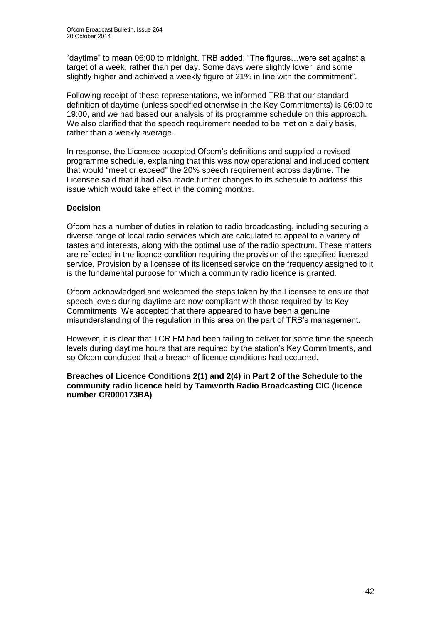"daytime" to mean 06:00 to midnight. TRB added: "The figures…were set against a target of a week, rather than per day. Some days were slightly lower, and some slightly higher and achieved a weekly figure of 21% in line with the commitment".

Following receipt of these representations, we informed TRB that our standard definition of daytime (unless specified otherwise in the Key Commitments) is 06:00 to 19:00, and we had based our analysis of its programme schedule on this approach. We also clarified that the speech requirement needed to be met on a daily basis, rather than a weekly average.

In response, the Licensee accepted Ofcom's definitions and supplied a revised programme schedule, explaining that this was now operational and included content that would "meet or exceed" the 20% speech requirement across daytime. The Licensee said that it had also made further changes to its schedule to address this issue which would take effect in the coming months.

#### **Decision**

Ofcom has a number of duties in relation to radio broadcasting, including securing a diverse range of local radio services which are calculated to appeal to a variety of tastes and interests, along with the optimal use of the radio spectrum. These matters are reflected in the licence condition requiring the provision of the specified licensed service. Provision by a licensee of its licensed service on the frequency assigned to it is the fundamental purpose for which a community radio licence is granted.

Ofcom acknowledged and welcomed the steps taken by the Licensee to ensure that speech levels during daytime are now compliant with those required by its Key Commitments. We accepted that there appeared to have been a genuine misunderstanding of the regulation in this area on the part of TRB's management.

However, it is clear that TCR FM had been failing to deliver for some time the speech levels during daytime hours that are required by the station's Key Commitments, and so Ofcom concluded that a breach of licence conditions had occurred.

**Breaches of Licence Conditions 2(1) and 2(4) in Part 2 of the Schedule to the community radio licence held by Tamworth Radio Broadcasting CIC (licence number CR000173BA)**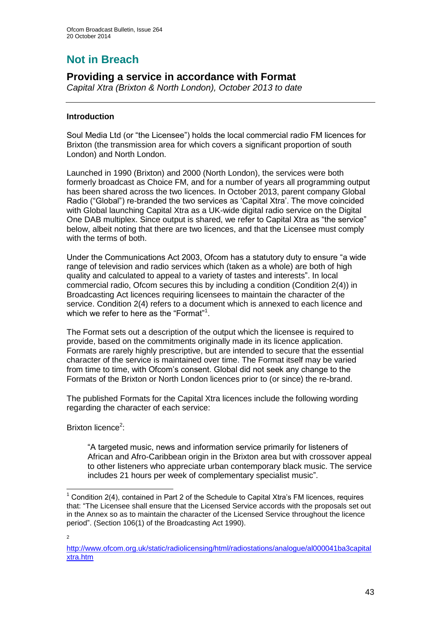# **Not in Breach**

## **Providing a service in accordance with Format**

*Capital Xtra (Brixton & North London), October 2013 to date*

#### **Introduction**

Soul Media Ltd (or "the Licensee") holds the local commercial radio FM licences for Brixton (the transmission area for which covers a significant proportion of south London) and North London.

Launched in 1990 (Brixton) and 2000 (North London), the services were both formerly broadcast as Choice FM, and for a number of years all programming output has been shared across the two licences. In October 2013, parent company Global Radio ("Global") re-branded the two services as 'Capital Xtra'. The move coincided with Global launching Capital Xtra as a UK-wide digital radio service on the Digital One DAB multiplex. Since output is shared, we refer to Capital Xtra as "the service" below, albeit noting that there are two licences, and that the Licensee must comply with the terms of both.

Under the Communications Act 2003, Ofcom has a statutory duty to ensure "a wide range of television and radio services which (taken as a whole) are both of high quality and calculated to appeal to a variety of tastes and interests". In local commercial radio, Ofcom secures this by including a condition (Condition 2(4)) in Broadcasting Act licences requiring licensees to maintain the character of the service. Condition 2(4) refers to a document which is annexed to each licence and which we refer to here as the "Format"<sup>1</sup>.

The Format sets out a description of the output which the licensee is required to provide, based on the commitments originally made in its licence application. Formats are rarely highly prescriptive, but are intended to secure that the essential character of the service is maintained over time. The Format itself may be varied from time to time, with Ofcom's consent. Global did not seek any change to the Formats of the Brixton or North London licences prior to (or since) the re-brand.

The published Formats for the Capital Xtra licences include the following wording regarding the character of each service:

Brixton licence<sup>2</sup>:

"A targeted music, news and information service primarily for listeners of African and Afro-Caribbean origin in the Brixton area but with crossover appeal to other listeners who appreciate urban contemporary black music. The service includes 21 hours per week of complementary specialist music".

2

<sup>1</sup>  $1$  Condition 2(4), contained in Part 2 of the Schedule to Capital Xtra's FM licences, requires that: "The Licensee shall ensure that the Licensed Service accords with the proposals set out in the Annex so as to maintain the character of the Licensed Service throughout the licence period". (Section 106(1) of the Broadcasting Act 1990).

[http://www.ofcom.org.uk/static/radiolicensing/html/radiostations/analogue/al000041ba3capital](http://www.ofcom.org.uk/static/radiolicensing/html/radiostations/analogue/al000041ba3capitalxtra.htm) [xtra.htm](http://www.ofcom.org.uk/static/radiolicensing/html/radiostations/analogue/al000041ba3capitalxtra.htm)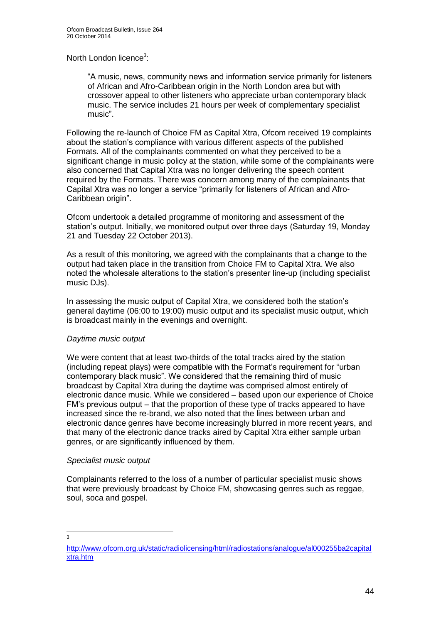#### North London licence<sup>3</sup>:

"A music, news, community news and information service primarily for listeners of African and Afro-Caribbean origin in the North London area but with crossover appeal to other listeners who appreciate urban contemporary black music. The service includes 21 hours per week of complementary specialist music".

Following the re-launch of Choice FM as Capital Xtra, Ofcom received 19 complaints about the station's compliance with various different aspects of the published Formats. All of the complainants commented on what they perceived to be a significant change in music policy at the station, while some of the complainants were also concerned that Capital Xtra was no longer delivering the speech content required by the Formats. There was concern among many of the complainants that Capital Xtra was no longer a service "primarily for listeners of African and Afro-Caribbean origin".

Ofcom undertook a detailed programme of monitoring and assessment of the station's output. Initially, we monitored output over three days (Saturday 19, Monday 21 and Tuesday 22 October 2013).

As a result of this monitoring, we agreed with the complainants that a change to the output had taken place in the transition from Choice FM to Capital Xtra. We also noted the wholesale alterations to the station's presenter line-up (including specialist music DJs).

In assessing the music output of Capital Xtra, we considered both the station's general daytime (06:00 to 19:00) music output and its specialist music output, which is broadcast mainly in the evenings and overnight.

#### *Daytime music output*

We were content that at least two-thirds of the total tracks aired by the station (including repeat plays) were compatible with the Format's requirement for "urban contemporary black music". We considered that the remaining third of music broadcast by Capital Xtra during the daytime was comprised almost entirely of electronic dance music. While we considered – based upon our experience of Choice FM's previous output – that the proportion of these type of tracks appeared to have increased since the re-brand, we also noted that the lines between urban and electronic dance genres have become increasingly blurred in more recent years, and that many of the electronic dance tracks aired by Capital Xtra either sample urban genres, or are significantly influenced by them.

#### *Specialist music output*

Complainants referred to the loss of a number of particular specialist music shows that were previously broadcast by Choice FM, showcasing genres such as reggae, soul, soca and gospel.

 $\frac{1}{3}$ 

[http://www.ofcom.org.uk/static/radiolicensing/html/radiostations/analogue/al000255ba2capital](http://www.ofcom.org.uk/static/radiolicensing/html/radiostations/analogue/al000255ba2capitalxtra.htm) [xtra.htm](http://www.ofcom.org.uk/static/radiolicensing/html/radiostations/analogue/al000255ba2capitalxtra.htm)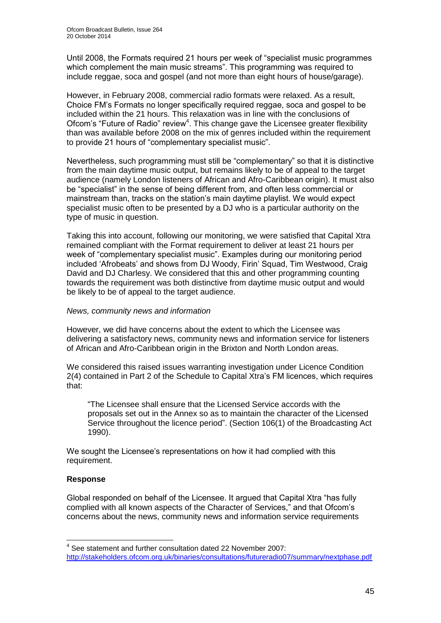Until 2008, the Formats required 21 hours per week of "specialist music programmes which complement the main music streams". This programming was required to include reggae, soca and gospel (and not more than eight hours of house/garage).

However, in February 2008, commercial radio formats were relaxed. As a result, Choice FM's Formats no longer specifically required reggae, soca and gospel to be included within the 21 hours. This relaxation was in line with the conclusions of Ofcom's "Future of Radio" review<sup>4</sup>. This change gave the Licensee greater flexibility than was available before 2008 on the mix of genres included within the requirement to provide 21 hours of "complementary specialist music".

Nevertheless, such programming must still be "complementary" so that it is distinctive from the main daytime music output, but remains likely to be of appeal to the target audience (namely London listeners of African and Afro-Caribbean origin). It must also be "specialist" in the sense of being different from, and often less commercial or mainstream than, tracks on the station's main daytime playlist. We would expect specialist music often to be presented by a DJ who is a particular authority on the type of music in question.

Taking this into account, following our monitoring, we were satisfied that Capital Xtra remained compliant with the Format requirement to deliver at least 21 hours per week of "complementary specialist music". Examples during our monitoring period included 'Afrobeats' and shows from DJ Woody, Firin' Squad, Tim Westwood, Craig David and DJ Charlesy. We considered that this and other programming counting towards the requirement was both distinctive from daytime music output and would be likely to be of appeal to the target audience.

#### *News, community news and information*

However, we did have concerns about the extent to which the Licensee was delivering a satisfactory news, community news and information service for listeners of African and Afro-Caribbean origin in the Brixton and North London areas.

We considered this raised issues warranting investigation under Licence Condition 2(4) contained in Part 2 of the Schedule to Capital Xtra's FM licences, which requires that:

"The Licensee shall ensure that the Licensed Service accords with the proposals set out in the Annex so as to maintain the character of the Licensed Service throughout the licence period". (Section 106(1) of the Broadcasting Act 1990).

We sought the Licensee's representations on how it had complied with this requirement.

#### **Response**

1

Global responded on behalf of the Licensee. It argued that Capital Xtra "has fully complied with all known aspects of the Character of Services," and that Ofcom's concerns about the news, community news and information service requirements

<sup>&</sup>lt;sup>4</sup> See statement and further consultation dated 22 November 2007: <http://stakeholders.ofcom.org.uk/binaries/consultations/futureradio07/summary/nextphase.pdf>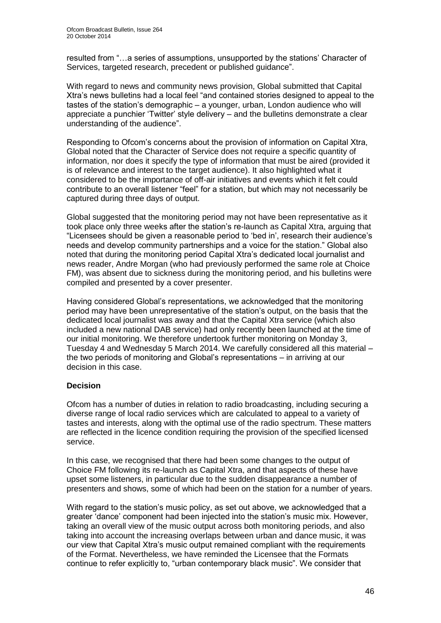resulted from "…a series of assumptions, unsupported by the stations' Character of Services, targeted research, precedent or published guidance".

With regard to news and community news provision, Global submitted that Capital Xtra's news bulletins had a local feel "and contained stories designed to appeal to the tastes of the station's demographic – a younger, urban, London audience who will appreciate a punchier 'Twitter' style delivery – and the bulletins demonstrate a clear understanding of the audience".

Responding to Ofcom's concerns about the provision of information on Capital Xtra, Global noted that the Character of Service does not require a specific quantity of information, nor does it specify the type of information that must be aired (provided it is of relevance and interest to the target audience). It also highlighted what it considered to be the importance of off-air initiatives and events which it felt could contribute to an overall listener "feel" for a station, but which may not necessarily be captured during three days of output.

Global suggested that the monitoring period may not have been representative as it took place only three weeks after the station's re-launch as Capital Xtra, arguing that "Licensees should be given a reasonable period to 'bed in', research their audience's needs and develop community partnerships and a voice for the station." Global also noted that during the monitoring period Capital Xtra's dedicated local journalist and news reader, Andre Morgan (who had previously performed the same role at Choice FM), was absent due to sickness during the monitoring period, and his bulletins were compiled and presented by a cover presenter.

Having considered Global's representations, we acknowledged that the monitoring period may have been unrepresentative of the station's output, on the basis that the dedicated local journalist was away and that the Capital Xtra service (which also included a new national DAB service) had only recently been launched at the time of our initial monitoring. We therefore undertook further monitoring on Monday 3, Tuesday 4 and Wednesday 5 March 2014. We carefully considered all this material – the two periods of monitoring and Global's representations – in arriving at our decision in this case.

#### **Decision**

Ofcom has a number of duties in relation to radio broadcasting, including securing a diverse range of local radio services which are calculated to appeal to a variety of tastes and interests, along with the optimal use of the radio spectrum. These matters are reflected in the licence condition requiring the provision of the specified licensed service.

In this case, we recognised that there had been some changes to the output of Choice FM following its re-launch as Capital Xtra, and that aspects of these have upset some listeners, in particular due to the sudden disappearance a number of presenters and shows, some of which had been on the station for a number of years.

With regard to the station's music policy, as set out above, we acknowledged that a greater 'dance' component had been injected into the station's music mix. However, taking an overall view of the music output across both monitoring periods, and also taking into account the increasing overlaps between urban and dance music, it was our view that Capital Xtra's music output remained compliant with the requirements of the Format. Nevertheless, we have reminded the Licensee that the Formats continue to refer explicitly to, "urban contemporary black music". We consider that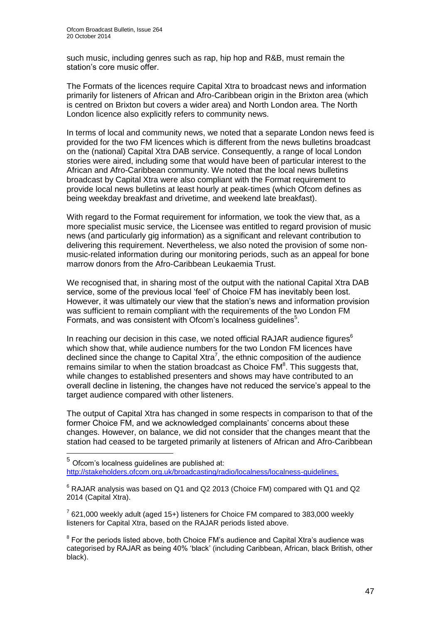1

such music, including genres such as rap, hip hop and R&B, must remain the station's core music offer.

The Formats of the licences require Capital Xtra to broadcast news and information primarily for listeners of African and Afro-Caribbean origin in the Brixton area (which is centred on Brixton but covers a wider area) and North London area. The North London licence also explicitly refers to community news.

In terms of local and community news, we noted that a separate London news feed is provided for the two FM licences which is different from the news bulletins broadcast on the (national) Capital Xtra DAB service. Consequently, a range of local London stories were aired, including some that would have been of particular interest to the African and Afro-Caribbean community. We noted that the local news bulletins broadcast by Capital Xtra were also compliant with the Format requirement to provide local news bulletins at least hourly at peak-times (which Ofcom defines as being weekday breakfast and drivetime, and weekend late breakfast).

With regard to the Format requirement for information, we took the view that, as a more specialist music service, the Licensee was entitled to regard provision of music news (and particularly gig information) as a significant and relevant contribution to delivering this requirement. Nevertheless, we also noted the provision of some nonmusic-related information during our monitoring periods, such as an appeal for bone marrow donors from the Afro-Caribbean Leukaemia Trust.

We recognised that, in sharing most of the output with the national Capital Xtra DAB service, some of the previous local 'feel' of Choice FM has inevitably been lost. However, it was ultimately our view that the station's news and information provision was sufficient to remain compliant with the requirements of the two London FM Formats, and was consistent with Ofcom's localness guidelines<sup>5</sup>.

In reaching our decision in this case, we noted official RAJAR audience figures<sup>6</sup> which show that, while audience numbers for the two London FM licences have declined since the change to Capital Xtra<sup>7</sup>, the ethnic composition of the audience remains similar to when the station broadcast as Choice  $FM<sup>8</sup>$ . This suggests that, while changes to established presenters and shows may have contributed to an overall decline in listening, the changes have not reduced the service's appeal to the target audience compared with other listeners.

The output of Capital Xtra has changed in some respects in comparison to that of the former Choice FM, and we acknowledged complainants' concerns about these changes. However, on balance, we did not consider that the changes meant that the station had ceased to be targeted primarily at listeners of African and Afro-Caribbean

 $<sup>5</sup>$  Ofcom's localness guidelines are published at:</sup> [http://stakeholders.ofcom.org.uk/broadcasting/radio/localness/localness-guidelines.](http://stakeholders.ofcom.org.uk/broadcasting/radio/localness/localness-guidelines)

 $6$  RAJAR analysis was based on Q1 and Q2 2013 (Choice FM) compared with Q1 and Q2 2014 (Capital Xtra).

 $7$  621,000 weekly adult (aged 15+) listeners for Choice FM compared to 383,000 weekly listeners for Capital Xtra, based on the RAJAR periods listed above.

<sup>8</sup> For the periods listed above, both Choice FM's audience and Capital Xtra's audience was categorised by RAJAR as being 40% 'black' (including Caribbean, African, black British, other black).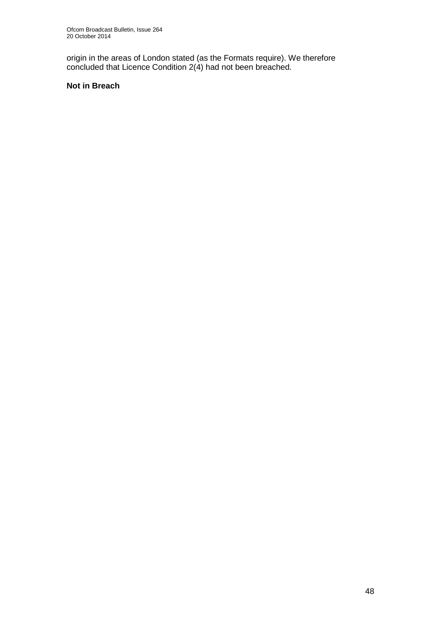origin in the areas of London stated (as the Formats require). We therefore concluded that Licence Condition 2(4) had not been breached.

#### **Not in Breach**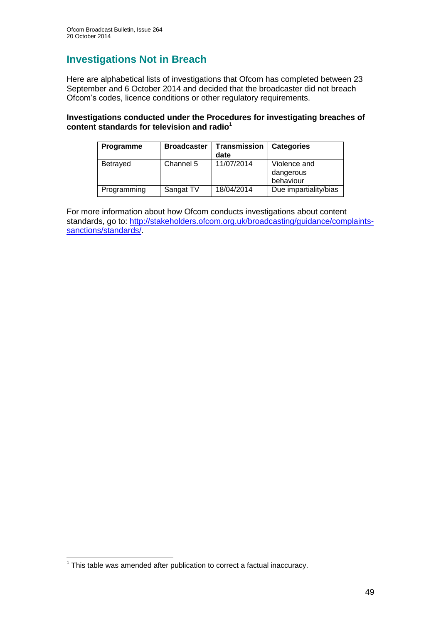## **Investigations Not in Breach**

Here are alphabetical lists of investigations that Ofcom has completed between 23 September and 6 October 2014 and decided that the broadcaster did not breach Ofcom's codes, licence conditions or other regulatory requirements.

#### **Investigations conducted under the Procedures for investigating breaches of content standards for television and radio<sup>1</sup>**

| <b>Programme</b> | <b>Broadcaster</b> | <b>Transmission</b><br>date | <b>Categories</b>                      |
|------------------|--------------------|-----------------------------|----------------------------------------|
| <b>Betrayed</b>  | Channel 5          | 11/07/2014                  | Violence and<br>dangerous<br>behaviour |
| Programming      | Sangat TV          | 18/04/2014                  | Due impartiality/bias                  |

For more information about how Ofcom conducts investigations about content standards, go to: [http://stakeholders.ofcom.org.uk/broadcasting/guidance/complaints](http://stakeholders.ofcom.org.uk/broadcasting/guidance/complaints-sanctions/standards/)[sanctions/standards/.](http://stakeholders.ofcom.org.uk/broadcasting/guidance/complaints-sanctions/standards/)

 1 This table was amended after publication to correct a factual inaccuracy.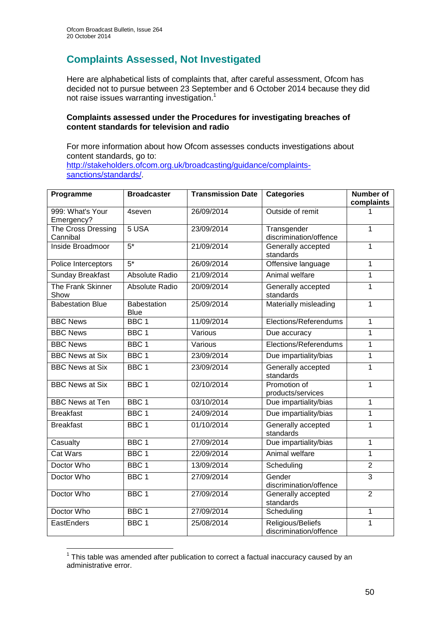## **Complaints Assessed, Not Investigated**

Here are alphabetical lists of complaints that, after careful assessment, Ofcom has decided not to pursue between 23 September and 6 October 2014 because they did not raise issues warranting investigation.<sup>1</sup>

#### **Complaints assessed under the Procedures for investigating breaches of content standards for television and radio**

For more information about how Ofcom assesses conducts investigations about content standards, go to: [http://stakeholders.ofcom.org.uk/broadcasting/guidance/complaints](http://stakeholders.ofcom.org.uk/broadcasting/guidance/complaints-sanctions/standards/)[sanctions/standards/.](http://stakeholders.ofcom.org.uk/broadcasting/guidance/complaints-sanctions/standards/)

| Programme                             | <b>Broadcaster</b>         | <b>Transmission Date</b> | <b>Categories</b>                           | <b>Number of</b><br>complaints |
|---------------------------------------|----------------------------|--------------------------|---------------------------------------------|--------------------------------|
| 999: What's Your<br>Emergency?        | 4seven                     | 26/09/2014               | Outside of remit                            |                                |
| <b>The Cross Dressing</b><br>Cannibal | 5 <sub>USA</sub>           | 23/09/2014               | Transgender<br>discrimination/offence       | $\mathbf{1}$                   |
| Inside Broadmoor                      | $5*$                       | 21/09/2014               | Generally accepted<br>standards             | $\overline{1}$                 |
| Police Interceptors                   | $5*$                       | 26/09/2014               | Offensive language                          | $\mathbf{1}$                   |
| <b>Sunday Breakfast</b>               | <b>Absolute Radio</b>      | 21/09/2014               | Animal welfare                              | $\mathbf{1}$                   |
| The Frank Skinner<br>Show             | Absolute Radio             | 20/09/2014               | Generally accepted<br>standards             | $\mathbf{1}$                   |
| <b>Babestation Blue</b>               | Babestation<br><b>Blue</b> | 25/09/2014               | Materially misleading                       | $\overline{1}$                 |
| <b>BBC</b> News                       | $BBC$ 1                    | 11/09/2014               | Elections/Referendums                       | $\mathbf{1}$                   |
| <b>BBC News</b>                       | BBC <sub>1</sub>           | Various                  | Due accuracy                                | 1                              |
| <b>BBC News</b>                       | BBC <sub>1</sub>           | Various                  | Elections/Referendums                       | 1                              |
| <b>BBC News at Six</b>                | BBC <sub>1</sub>           | 23/09/2014               | Due impartiality/bias                       | 1                              |
| <b>BBC News at Six</b>                | BBC <sub>1</sub>           | 23/09/2014               | Generally accepted<br>standards             | $\overline{1}$                 |
| <b>BBC News at Six</b>                | BBC <sub>1</sub>           | 02/10/2014               | Promotion of<br>products/services           | $\mathbf{1}$                   |
| <b>BBC News at Ten</b>                | BBC <sub>1</sub>           | 03/10/2014               | Due impartiality/bias                       | $\mathbf{1}$                   |
| <b>Breakfast</b>                      | BBC <sub>1</sub>           | 24/09/2014               | Due impartiality/bias                       | $\mathbf{1}$                   |
| <b>Breakfast</b>                      | BBC <sub>1</sub>           | 01/10/2014               | Generally accepted<br>standards             | 1                              |
| Casualty                              | BBC <sub>1</sub>           | 27/09/2014               | Due impartiality/bias                       | $\mathbf{1}$                   |
| <b>Cat Wars</b>                       | BBC <sub>1</sub>           | 22/09/2014               | Animal welfare                              | $\mathbf{1}$                   |
| Doctor Who                            | BBC <sub>1</sub>           | 13/09/2014               | Scheduling                                  | $\overline{2}$                 |
| Doctor Who                            | BBC <sub>1</sub>           | 27/09/2014               | Gender<br>discrimination/offence            | $\overline{3}$                 |
| Doctor Who                            | BBC <sub>1</sub>           | 27/09/2014               | Generally accepted<br>standards             | $\overline{2}$                 |
| Doctor Who                            | BBC <sub>1</sub>           | 27/09/2014               | Scheduling                                  | $\mathbf{1}$                   |
| EastEnders                            | BBC <sub>1</sub>           | 25/08/2014               | Religious/Beliefs<br>discrimination/offence | $\mathbf 1$                    |

 $1$  This table was amended after publication to correct a factual inaccuracy caused by an administrative error.

1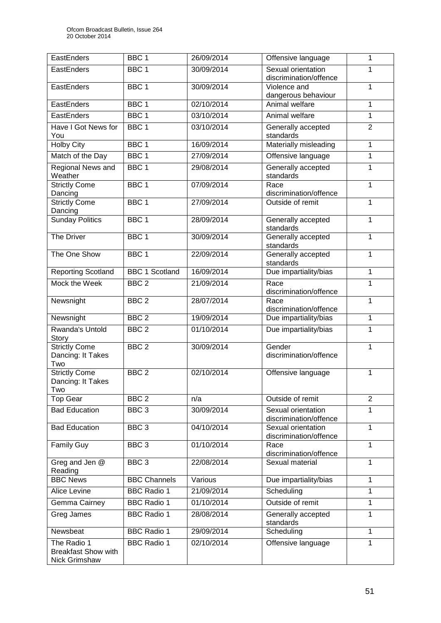| EastEnders                                                 | BBC <sub>1</sub>      | 26/09/2014 | Offensive language                           | 1              |
|------------------------------------------------------------|-----------------------|------------|----------------------------------------------|----------------|
| EastEnders                                                 | BBC <sub>1</sub>      | 30/09/2014 | Sexual orientation<br>discrimination/offence | 1              |
| EastEnders                                                 | BBC <sub>1</sub>      | 30/09/2014 | Violence and<br>dangerous behaviour          | $\mathbf{1}$   |
| EastEnders                                                 | BBC <sub>1</sub>      | 02/10/2014 | Animal welfare                               | 1              |
| EastEnders                                                 | BBC <sub>1</sub>      | 03/10/2014 | Animal welfare                               | $\mathbf{1}$   |
| Have I Got News for<br>You                                 | BBC <sub>1</sub>      | 03/10/2014 | Generally accepted<br>standards              | $\overline{2}$ |
| <b>Holby City</b>                                          | BBC <sub>1</sub>      | 16/09/2014 | Materially misleading                        | $\mathbf{1}$   |
| Match of the Day                                           | BBC <sub>1</sub>      | 27/09/2014 | Offensive language                           | $\mathbf{1}$   |
| Regional News and<br>Weather                               | BBC <sub>1</sub>      | 29/08/2014 | Generally accepted<br>standards              | 1              |
| <b>Strictly Come</b><br>Dancing                            | BBC <sub>1</sub>      | 07/09/2014 | Race<br>discrimination/offence               | $\mathbf{1}$   |
| <b>Strictly Come</b><br>Dancing                            | BBC <sub>1</sub>      | 27/09/2014 | Outside of remit                             | $\mathbf{1}$   |
| <b>Sunday Politics</b>                                     | BBC <sub>1</sub>      | 28/09/2014 | Generally accepted<br>standards              | $\mathbf{1}$   |
| <b>The Driver</b>                                          | BBC <sub>1</sub>      | 30/09/2014 | Generally accepted<br>standards              | $\mathbf{1}$   |
| The One Show                                               | BBC 1                 | 22/09/2014 | Generally accepted<br>standards              | $\mathbf{1}$   |
| <b>Reporting Scotland</b>                                  | <b>BBC 1 Scotland</b> | 16/09/2014 | Due impartiality/bias                        | $\mathbf{1}$   |
| Mock the Week                                              | BBC <sub>2</sub>      | 21/09/2014 | Race<br>discrimination/offence               | 1              |
| Newsnight                                                  | BBC <sub>2</sub>      | 28/07/2014 | Race<br>discrimination/offence               | $\mathbf{1}$   |
| Newsnight                                                  | BBC <sub>2</sub>      | 19/09/2014 | Due impartiality/bias                        | $\mathbf{1}$   |
| <b>Rwanda's Untold</b><br>Story                            | BBC <sub>2</sub>      | 01/10/2014 | Due impartiality/bias                        | $\mathbf{1}$   |
| <b>Strictly Come</b><br>Dancing: It Takes<br>Two           | BBC <sub>2</sub>      | 30/09/2014 | Gender<br>discrimination/offence             | 1              |
| <b>Strictly Come</b><br>Dancing: It Takes<br>Two           | BBC <sub>2</sub>      | 02/10/2014 | Offensive language                           | 1              |
| <b>Top Gear</b>                                            | BBC <sub>2</sub>      | n/a        | Outside of remit                             | $\overline{2}$ |
| <b>Bad Education</b>                                       | BBC <sub>3</sub>      | 30/09/2014 | Sexual orientation<br>discrimination/offence | 1              |
| <b>Bad Education</b>                                       | BBC <sub>3</sub>      | 04/10/2014 | Sexual orientation<br>discrimination/offence | 1              |
| <b>Family Guy</b>                                          | BBC <sub>3</sub>      | 01/10/2014 | Race<br>discrimination/offence               | 1              |
| Greg and Jen @<br>Reading                                  | BBC <sub>3</sub>      | 22/08/2014 | Sexual material                              | 1              |
| <b>BBC News</b>                                            | <b>BBC Channels</b>   | Various    | Due impartiality/bias                        | $\mathbf{1}$   |
| Alice Levine                                               | <b>BBC Radio 1</b>    | 21/09/2014 | Scheduling                                   | 1              |
| Gemma Cairney                                              | <b>BBC Radio 1</b>    | 01/10/2014 | Outside of remit                             | $\mathbf{1}$   |
| Greg James                                                 | <b>BBC Radio 1</b>    | 28/08/2014 | Generally accepted<br>standards              | 1              |
| Newsbeat                                                   | <b>BBC Radio 1</b>    | 29/09/2014 | Scheduling                                   | 1              |
| The Radio 1<br><b>Breakfast Show with</b><br>Nick Grimshaw | <b>BBC Radio 1</b>    | 02/10/2014 | Offensive language                           | $\mathbf{1}$   |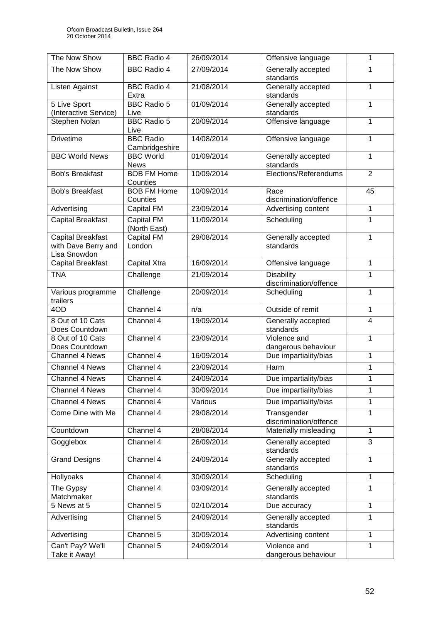| The Now Show                                                    | <b>BBC Radio 4</b>                 | 26/09/2014 | Offensive language                          | 1              |
|-----------------------------------------------------------------|------------------------------------|------------|---------------------------------------------|----------------|
| The Now Show                                                    | <b>BBC Radio 4</b>                 | 27/09/2014 | Generally accepted<br>standards             | 1              |
| Listen Against                                                  | <b>BBC Radio 4</b><br>Extra        | 21/08/2014 | Generally accepted<br>standards             | 1              |
| 5 Live Sport<br>(Interactive Service)                           | <b>BBC Radio 5</b><br>Live         | 01/09/2014 | Generally accepted<br>standards             | 1              |
| Stephen Nolan                                                   | <b>BBC Radio 5</b><br>Live         | 20/09/2014 | Offensive language                          | 1              |
| <b>Drivetime</b>                                                | <b>BBC Radio</b><br>Cambridgeshire | 14/08/2014 | Offensive language                          | $\mathbf{1}$   |
| <b>BBC World News</b>                                           | <b>BBC World</b><br><b>News</b>    | 01/09/2014 | Generally accepted<br>standards             | $\mathbf{1}$   |
| <b>Bob's Breakfast</b>                                          | <b>BOB FM Home</b><br>Counties     | 10/09/2014 | Elections/Referendums                       | $\overline{2}$ |
| <b>Bob's Breakfast</b>                                          | <b>BOB FM Home</b><br>Counties     | 10/09/2014 | Race<br>discrimination/offence              | 45             |
| Advertising                                                     | <b>Capital FM</b>                  | 23/09/2014 | Advertising content                         | 1              |
| <b>Capital Breakfast</b>                                        | <b>Capital FM</b><br>(North East)  | 11/09/2014 | Scheduling                                  | $\mathbf{1}$   |
| <b>Capital Breakfast</b><br>with Dave Berry and<br>Lisa Snowdon | <b>Capital FM</b><br>London        | 29/08/2014 | Generally accepted<br>standards             | 1              |
| <b>Capital Breakfast</b>                                        | Capital Xtra                       | 16/09/2014 | Offensive language                          | $\mathbf{1}$   |
| <b>TNA</b>                                                      | Challenge                          | 21/09/2014 | <b>Disability</b><br>discrimination/offence | $\mathbf{1}$   |
| Various programme<br>trailers                                   | Challenge                          | 20/09/2014 | Scheduling                                  | $\mathbf{1}$   |
| 4OD                                                             | Channel 4                          | n/a        | Outside of remit                            | $\mathbf 1$    |
| 8 Out of 10 Cats<br>Does Countdown                              | Channel 4                          | 19/09/2014 | Generally accepted<br>standards             | $\overline{4}$ |
| 8 Out of 10 Cats<br>Does Countdown                              | Channel 4                          | 23/09/2014 | Violence and<br>dangerous behaviour         | 1              |
| Channel 4 News                                                  | Channel 4                          | 16/09/2014 | Due impartiality/bias                       | $\mathbf{1}$   |
| Channel 4 News                                                  | Channel 4                          | 23/09/2014 | Harm                                        | 1              |
| <b>Channel 4 News</b>                                           | Channel 4                          | 24/09/2014 | Due impartiality/bias                       | $\mathbf{1}$   |
| Channel 4 News                                                  | Channel $\overline{4}$             | 30/09/2014 | Due impartiality/bias                       | 1              |
| Channel 4 News                                                  | Channel 4                          | Various    | Due impartiality/bias                       | 1              |
| Come Dine with Me                                               | Channel 4                          | 29/08/2014 | Transgender<br>discrimination/offence       | $\mathbf{1}$   |
| Countdown                                                       | Channel 4                          | 28/08/2014 | Materially misleading                       | 1              |
| Gogglebox                                                       | Channel 4                          | 26/09/2014 | Generally accepted<br>standards             | 3              |
| <b>Grand Designs</b>                                            | Channel 4                          | 24/09/2014 | Generally accepted<br>standards             | 1              |
| Hollyoaks                                                       | Channel 4                          | 30/09/2014 | Scheduling                                  | $\mathbf{1}$   |
| The Gypsy<br>Matchmaker                                         | Channel 4                          | 03/09/2014 | Generally accepted<br>standards             | 1              |
| 5 News at 5                                                     | Channel 5                          | 02/10/2014 | Due accuracy                                | $\mathbf{1}$   |
| Advertising                                                     | Channel 5                          | 24/09/2014 | Generally accepted<br>standards             | 1              |
| Advertising                                                     | Channel 5                          | 30/09/2014 | Advertising content                         | $\mathbf{1}$   |
| Can't Pay? We'll<br>Take it Away!                               | Channel 5                          | 24/09/2014 | Violence and<br>dangerous behaviour         | 1              |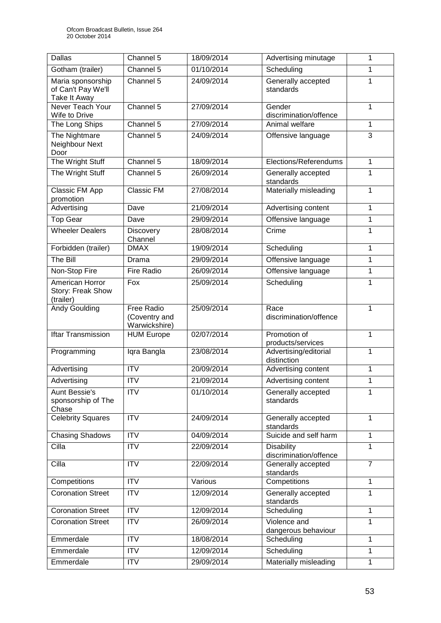| <b>Dallas</b>                                           | $\overline{\text{Channel}}$ 5                | 18/09/2014 | Advertising minutage                        | 1              |
|---------------------------------------------------------|----------------------------------------------|------------|---------------------------------------------|----------------|
| Gotham (trailer)                                        | Channel 5                                    | 01/10/2014 | Scheduling                                  | 1              |
| Maria sponsorship<br>of Can't Pay We'll<br>Take It Away | Channel 5                                    | 24/09/2014 | Generally accepted<br>standards             | 1              |
| Never Teach Your<br>Wife to Drive                       | Channel 5                                    | 27/09/2014 | Gender<br>discrimination/offence            | 1              |
| The Long Ships                                          | Channel 5                                    | 27/09/2014 | Animal welfare                              | 1              |
| The Nightmare<br>Neighbour Next<br>Door                 | Channel 5                                    | 24/09/2014 | Offensive language                          | $\overline{3}$ |
| The Wright Stuff                                        | Channel 5                                    | 18/09/2014 | Elections/Referendums                       | 1              |
| The Wright Stuff                                        | Channel 5                                    | 26/09/2014 | Generally accepted<br>standards             | 1              |
| Classic FM App<br>promotion                             | Classic FM                                   | 27/08/2014 | Materially misleading                       | $\mathbf{1}$   |
| Advertising                                             | Dave                                         | 21/09/2014 | Advertising content                         | 1              |
| <b>Top Gear</b>                                         | Dave                                         | 29/09/2014 | Offensive language                          | $\mathbf{1}$   |
| <b>Wheeler Dealers</b>                                  | Discovery<br>Channel                         | 28/08/2014 | Crime                                       | 1              |
| Forbidden (trailer)                                     | <b>DMAX</b>                                  | 19/09/2014 | Scheduling                                  | $\mathbf{1}$   |
| The Bill                                                | Drama                                        | 29/09/2014 | Offensive language                          | 1              |
| Non-Stop Fire                                           | <b>Fire Radio</b>                            | 26/09/2014 | Offensive language                          | 1              |
| American Horror<br>Story: Freak Show<br>(trailer)       | Fox                                          | 25/09/2014 | Scheduling                                  | 1              |
| <b>Andy Goulding</b>                                    | Free Radio<br>(Coventry and<br>Warwickshire) | 25/09/2014 | Race<br>discrimination/offence              | 1              |
| <b>Iftar Transmission</b>                               | <b>HUM Europe</b>                            | 02/07/2014 | Promotion of<br>products/services           | $\mathbf{1}$   |
| Programming                                             | Igra Bangla                                  | 23/08/2014 | Advertising/editorial<br>distinction        | 1              |
| Advertising                                             | <b>ITV</b>                                   | 20/09/2014 | Advertising content                         | 1              |
| Advertising                                             | <b>ITV</b>                                   | 21/09/2014 | Advertising content                         | 1              |
| <b>Aunt Bessie's</b><br>sponsorship of The<br>Chase     | <b>ITV</b>                                   | 01/10/2014 | Generally accepted<br>standards             | 1              |
| <b>Celebrity Squares</b>                                | $\overline{IV}$                              | 24/09/2014 | Generally accepted<br>standards             | $\mathbf{1}$   |
| <b>Chasing Shadows</b>                                  | $\overline{IV}$                              | 04/09/2014 | Suicide and self harm                       | 1              |
| Cilla                                                   | <b>ITV</b>                                   | 22/09/2014 | <b>Disability</b><br>discrimination/offence | $\mathbf{1}$   |
| Cilla                                                   | <b>ITV</b>                                   | 22/09/2014 | Generally accepted<br>standards             | $\overline{7}$ |
| Competitions                                            | <b>ITV</b>                                   | Various    | Competitions                                | $\mathbf{1}$   |
| <b>Coronation Street</b>                                | <b>ITV</b>                                   | 12/09/2014 | Generally accepted<br>standards             | $\mathbf{1}$   |
| <b>Coronation Street</b>                                | <b>ITV</b>                                   | 12/09/2014 | Scheduling                                  | 1              |
| <b>Coronation Street</b>                                | ITV                                          | 26/09/2014 | Violence and<br>dangerous behaviour         | 1              |
| Emmerdale                                               | <b>ITV</b>                                   | 18/08/2014 | Scheduling                                  | 1              |
| Emmerdale                                               | <b>ITV</b>                                   | 12/09/2014 | Scheduling                                  | $\mathbf{1}$   |
| Emmerdale                                               | <b>ITV</b>                                   | 29/09/2014 | Materially misleading                       | $\mathbf{1}$   |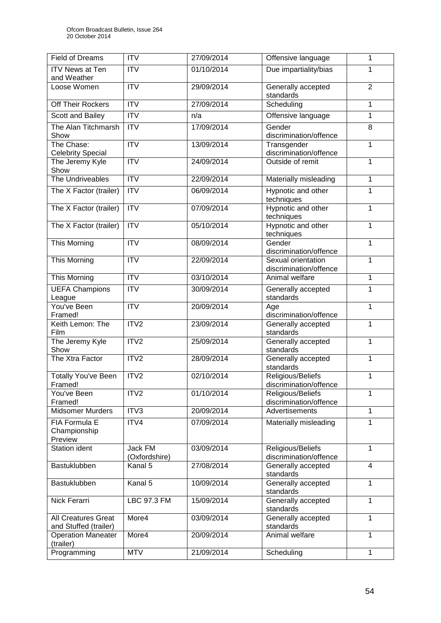| <b>Field of Dreams</b>                              | <b>ITV</b>               | 27/09/2014 | Offensive language                           | 1              |
|-----------------------------------------------------|--------------------------|------------|----------------------------------------------|----------------|
| <b>ITV News at Ten</b><br>and Weather               | <b>ITV</b>               | 01/10/2014 | Due impartiality/bias                        | 1              |
| Loose Women                                         | $\overline{ITV}$         | 29/09/2014 | Generally accepted<br>standards              | $\overline{2}$ |
| Off Their Rockers                                   | <b>ITV</b>               | 27/09/2014 | Scheduling                                   | 1              |
| Scott and Bailey                                    | $\overline{ITV}$         | n/a        | Offensive language                           | 1              |
| The Alan Titchmarsh<br>Show                         | ITV                      | 17/09/2014 | Gender<br>discrimination/offence             | 8              |
| The Chase:<br><b>Celebrity Special</b>              | $\overline{\text{ITV}}$  | 13/09/2014 | Transgender<br>discrimination/offence        | $\mathbf{1}$   |
| The Jeremy Kyle<br>Show                             | ITV                      | 24/09/2014 | Outside of remit                             | 1              |
| The Undriveables                                    | <b>ITV</b>               | 22/09/2014 | Materially misleading                        | $\mathbf{1}$   |
| The X Factor (trailer)                              | <b>ITV</b>               | 06/09/2014 | Hypnotic and other<br>techniques             | 1              |
| The X Factor (trailer)                              | <b>ITV</b>               | 07/09/2014 | Hypnotic and other<br>techniques             | $\mathbf{1}$   |
| The X Factor (trailer)                              | <b>ITV</b>               | 05/10/2014 | Hypnotic and other<br>techniques             | $\mathbf{1}$   |
| This Morning                                        | <b>ITV</b>               | 08/09/2014 | Gender<br>discrimination/offence             | $\mathbf{1}$   |
| This Morning                                        | <b>ITV</b>               | 22/09/2014 | Sexual orientation<br>discrimination/offence | 1              |
| This Morning                                        | <b>ITV</b>               | 03/10/2014 | Animal welfare                               | 1              |
| <b>UEFA Champions</b><br>League                     | $\overline{IV}$          | 30/09/2014 | Generally accepted<br>standards              | $\overline{1}$ |
| You've Been<br>Framed!                              | <b>ITV</b>               | 20/09/2014 | Age<br>discrimination/offence                | $\mathbf{1}$   |
| Keith Lemon: The<br>Film                            | ITV2                     | 23/09/2014 | Generally accepted<br>standards              | $\mathbf{1}$   |
| The Jeremy Kyle<br>Show                             | ITV2                     | 25/09/2014 | Generally accepted<br>standards              | $\mathbf{1}$   |
| The Xtra Factor                                     | ITV2                     | 28/09/2014 | Generally accepted<br>standards              | 1              |
| <b>Totally You've Been</b><br>Framed!               | ITV2                     | 02/10/2014 | Religious/Beliefs<br>discrimination/offence  | 1              |
| You've Been<br>Framed!                              | ITV2                     | 01/10/2014 | Religious/Beliefs<br>discrimination/offence  | 1              |
| <b>Midsomer Murders</b>                             | ITV3                     | 20/09/2014 | Advertisements                               | $\mathbf{1}$   |
| <b>FIA Formula E</b><br>Championship<br>Preview     | ITV4                     | 07/09/2014 | Materially misleading                        | $\mathbf{1}$   |
| <b>Station ident</b>                                | Jack FM<br>(Oxfordshire) | 03/09/2014 | Religious/Beliefs<br>discrimination/offence  | $\mathbf{1}$   |
| Bastuklubben                                        | Kanal 5                  | 27/08/2014 | Generally accepted<br>standards              | 4              |
| Bastuklubben                                        | Kanal 5                  | 10/09/2014 | Generally accepted<br>standards              | $\mathbf{1}$   |
| Nick Ferarri                                        | LBC 97.3 FM              | 15/09/2014 | Generally accepted<br>standards              | 1              |
| <b>All Creatures Great</b><br>and Stuffed (trailer) | More4                    | 03/09/2014 | Generally accepted<br>standards              | $\mathbf{1}$   |
| <b>Operation Maneater</b><br>(trailer)              | More4                    | 20/09/2014 | Animal welfare                               | 1              |
| Programming                                         | <b>MTV</b>               | 21/09/2014 | Scheduling                                   | 1              |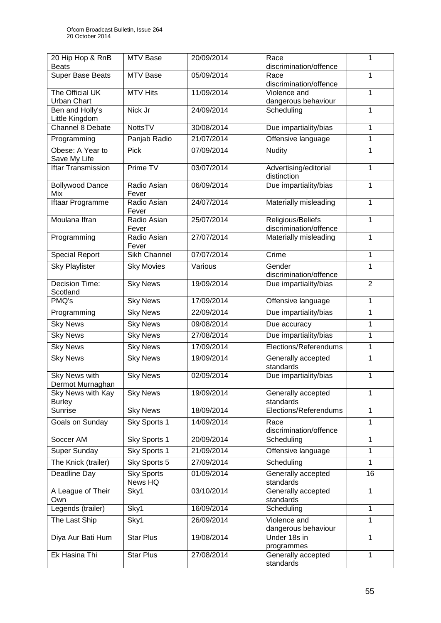| 20 Hip Hop & RnB<br><b>Beats</b>         | MTV Base                     | 20/09/2014 | Race<br>discrimination/offence              | 1              |
|------------------------------------------|------------------------------|------------|---------------------------------------------|----------------|
| <b>Super Base Beats</b>                  | MTV Base                     | 05/09/2014 | Race<br>discrimination/offence              | $\mathbf{1}$   |
| The Official UK<br><b>Urban Chart</b>    | <b>MTV Hits</b>              | 11/09/2014 | Violence and<br>dangerous behaviour         | 1              |
| Ben and Holly's<br>Little Kingdom        | Nick Jr                      | 24/09/2014 | Scheduling                                  | 1              |
| Channel 8 Debate                         | <b>NottsTV</b>               | 30/08/2014 | Due impartiality/bias                       | 1              |
| Programming                              | Panjab Radio                 | 21/07/2014 | Offensive language                          | 1              |
| Obese: A Year to<br>Save My Life         | <b>Pick</b>                  | 07/09/2014 | Nudity                                      | 1              |
| <b>Iftar Transmission</b>                | Prime TV                     | 03/07/2014 | Advertising/editorial<br>distinction        | 1              |
| <b>Bollywood Dance</b><br>Mix            | Radio Asian<br>Fever         | 06/09/2014 | Due impartiality/bias                       | $\mathbf{1}$   |
| Iftaar Programme                         | Radio Asian<br>Fever         | 24/07/2014 | Materially misleading                       | $\mathbf{1}$   |
| Moulana Ifran                            | Radio Asian<br>Fever         | 25/07/2014 | Religious/Beliefs<br>discrimination/offence | 1              |
| Programming                              | Radio Asian<br>Fever         | 27/07/2014 | Materially misleading                       | $\mathbf{1}$   |
| <b>Special Report</b>                    | <b>Sikh Channel</b>          | 07/07/2014 | Crime                                       | 1              |
| <b>Sky Playlister</b>                    | <b>Sky Movies</b>            | Various    | Gender<br>discrimination/offence            | $\mathbf{1}$   |
| Decision Time:<br>Scotland               | <b>Sky News</b>              | 19/09/2014 | Due impartiality/bias                       | $\overline{2}$ |
| PMQ's                                    | <b>Sky News</b>              | 17/09/2014 | Offensive language                          | 1              |
| Programming                              | <b>Sky News</b>              | 22/09/2014 | Due impartiality/bias                       | 1              |
| <b>Sky News</b>                          | <b>Sky News</b>              | 09/08/2014 | Due accuracy                                | $\mathbf{1}$   |
| <b>Sky News</b>                          | <b>Sky News</b>              | 27/08/2014 | Due impartiality/bias                       | 1              |
| <b>Sky News</b>                          | <b>Sky News</b>              | 17/09/2014 | Elections/Referendums                       | 1              |
| <b>Sky News</b>                          | <b>Sky News</b>              | 19/09/2014 | Generally accepted<br>standards             | $\mathbf{1}$   |
| <b>Sky News with</b><br>Dermot Murnaghan | <b>Sky News</b>              | 02/09/2014 | Due impartiality/bias                       | 1              |
| Sky News with Kay<br><b>Burley</b>       | <b>Sky News</b>              | 19/09/2014 | Generally accepted<br>standards             | 1              |
| Sunrise                                  | <b>Sky News</b>              | 18/09/2014 | Elections/Referendums                       | $\mathbf{1}$   |
| Goals on Sunday                          | Sky Sports 1                 | 14/09/2014 | Race<br>discrimination/offence              | 1              |
| Soccer AM                                | Sky Sports 1                 | 20/09/2014 | Scheduling                                  | 1              |
| Super Sunday                             | Sky Sports 1                 | 21/09/2014 | Offensive language                          | 1              |
| The Knick (trailer)                      | Sky Sports 5                 | 27/09/2014 | Scheduling                                  | 1              |
| Deadline Day                             | <b>Sky Sports</b><br>News HQ | 01/09/2014 | Generally accepted<br>standards             | 16             |
| A League of Their<br>Own                 | Sky1                         | 03/10/2014 | Generally accepted<br>standards             | 1              |
| Legends (trailer)                        | Sky1                         | 16/09/2014 | Scheduling                                  | 1              |
| The Last Ship                            | Sky1                         | 26/09/2014 | Violence and<br>dangerous behaviour         | $\mathbf{1}$   |
| Diya Aur Bati Hum                        | <b>Star Plus</b>             | 19/08/2014 | Under 18s in<br>programmes                  | $\mathbf{1}$   |
| Ek Hasina Thi                            | <b>Star Plus</b>             | 27/08/2014 | Generally accepted<br>standards             | $\mathbf{1}$   |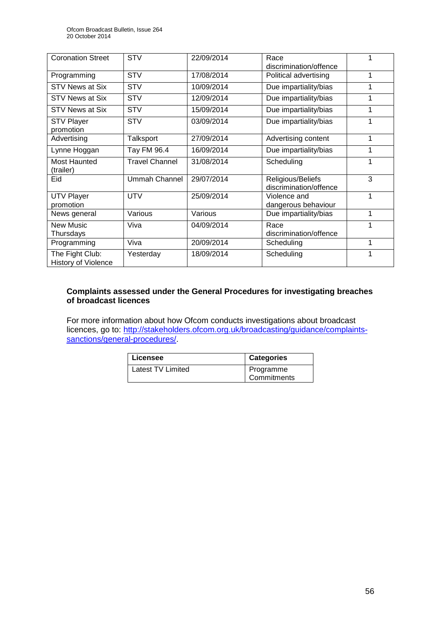| <b>Coronation Street</b>                      | <b>STV</b>            | 22/09/2014 | Race<br>discrimination/offence              |   |
|-----------------------------------------------|-----------------------|------------|---------------------------------------------|---|
| Programming                                   | <b>STV</b>            | 17/08/2014 | Political advertising                       | 1 |
| <b>STV News at Six</b>                        | <b>STV</b>            | 10/09/2014 | Due impartiality/bias                       | 1 |
| STV News at Six                               | <b>STV</b>            | 12/09/2014 | Due impartiality/bias                       | 1 |
| STV News at Six                               | <b>STV</b>            | 15/09/2014 | Due impartiality/bias                       | 1 |
| <b>STV Player</b><br>promotion                | <b>STV</b>            | 03/09/2014 | Due impartiality/bias                       | 1 |
| Advertising                                   | Talksport             | 27/09/2014 | Advertising content                         | 1 |
| Lynne Hoggan                                  | Tay FM 96.4           | 16/09/2014 | Due impartiality/bias                       | 1 |
| <b>Most Haunted</b><br>(trailer)              | <b>Travel Channel</b> | 31/08/2014 | Scheduling                                  | 1 |
| Eid                                           | Ummah Channel         | 29/07/2014 | Religious/Beliefs<br>discrimination/offence | 3 |
| <b>UTV Player</b><br>promotion                | <b>UTV</b>            | 25/09/2014 | Violence and<br>dangerous behaviour         | 1 |
| News general                                  | Various               | Various    | Due impartiality/bias                       | 1 |
| <b>New Music</b><br>Thursdays                 | Viva                  | 04/09/2014 | Race<br>discrimination/offence              | 1 |
| Programming                                   | Viva                  | 20/09/2014 | Scheduling                                  | 1 |
| The Fight Club:<br><b>History of Violence</b> | Yesterday             | 18/09/2014 | Scheduling                                  | 1 |

#### **Complaints assessed under the General Procedures for investigating breaches of broadcast licences**

For more information about how Ofcom conducts investigations about broadcast licences, go to: [http://stakeholders.ofcom.org.uk/broadcasting/guidance/complaints](http://stakeholders.ofcom.org.uk/broadcasting/guidance/complaints-sanctions/general-procedures/)[sanctions/general-procedures/.](http://stakeholders.ofcom.org.uk/broadcasting/guidance/complaints-sanctions/general-procedures/)

| Licensee          | <b>Categories</b> |
|-------------------|-------------------|
| Latest TV Limited | Programme         |
|                   | Commitments       |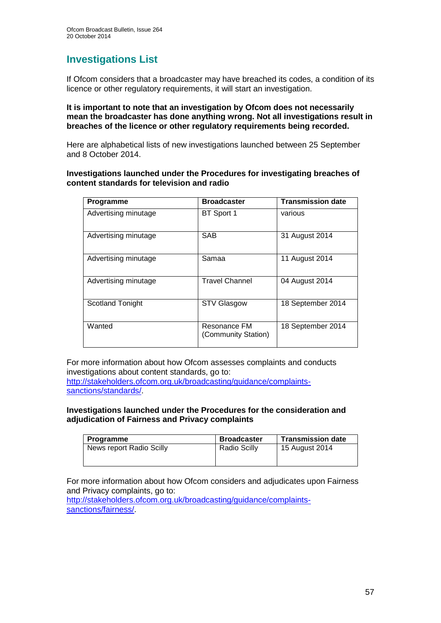## **Investigations List**

If Ofcom considers that a broadcaster may have breached its codes, a condition of its licence or other regulatory requirements, it will start an investigation.

#### **It is important to note that an investigation by Ofcom does not necessarily mean the broadcaster has done anything wrong. Not all investigations result in breaches of the licence or other regulatory requirements being recorded.**

Here are alphabetical lists of new investigations launched between 25 September and 8 October 2014.

#### **Investigations launched under the Procedures for investigating breaches of content standards for television and radio**

| Programme               | <b>Broadcaster</b>                  | <b>Transmission date</b> |
|-------------------------|-------------------------------------|--------------------------|
| Advertising minutage    | BT Sport 1                          | various                  |
| Advertising minutage    | <b>SAB</b>                          | 31 August 2014           |
| Advertising minutage    | Samaa                               | 11 August 2014           |
| Advertising minutage    | <b>Travel Channel</b>               | 04 August 2014           |
| <b>Scotland Tonight</b> | <b>STV Glasgow</b>                  | 18 September 2014        |
| Wanted                  | Resonance FM<br>(Community Station) | 18 September 2014        |

For more information about how Ofcom assesses complaints and conducts investigations about content standards, go to: [http://stakeholders.ofcom.org.uk/broadcasting/guidance/complaints](http://stakeholders.ofcom.org.uk/broadcasting/guidance/complaints-sanctions/standards/)[sanctions/standards/.](http://stakeholders.ofcom.org.uk/broadcasting/guidance/complaints-sanctions/standards/)

#### **Investigations launched under the Procedures for the consideration and adjudication of Fairness and Privacy complaints**

| <b>Programme</b>         | <b>Broadcaster</b>  | <b>Transmission date</b> |
|--------------------------|---------------------|--------------------------|
| News report Radio Scilly | <b>Radio Scilly</b> | 15 August 2014           |
|                          |                     |                          |

For more information about how Ofcom considers and adjudicates upon Fairness and Privacy complaints, go to:

[http://stakeholders.ofcom.org.uk/broadcasting/guidance/complaints](http://stakeholders.ofcom.org.uk/broadcasting/guidance/complaints-sanctions/fairness/)[sanctions/fairness/.](http://stakeholders.ofcom.org.uk/broadcasting/guidance/complaints-sanctions/fairness/)